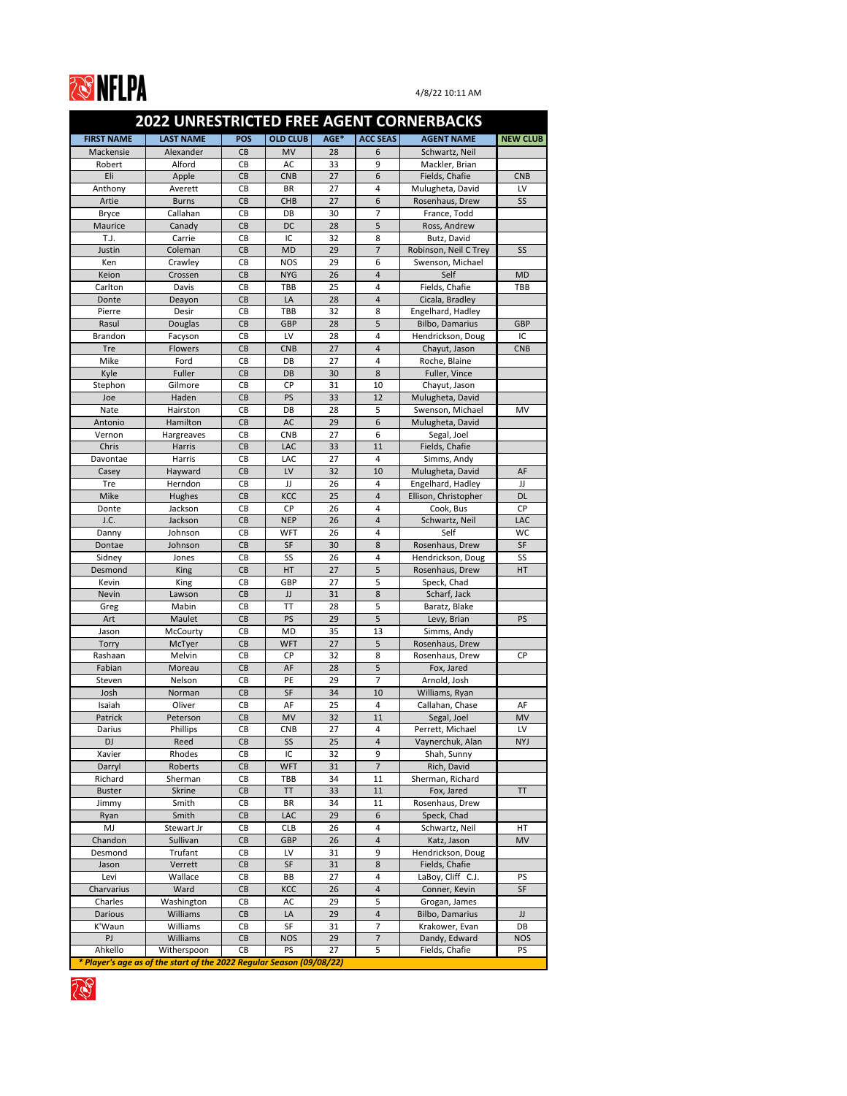

| AGE*<br><b>POS</b><br><b>ACC SEAS</b><br><b>FIRST NAME</b><br><b>LAST NAME</b><br><b>OLD CLUB</b><br><b>AGENT NAME</b><br>Mackensie<br>Alexander<br>Schwartz, Neil<br>CB<br><b>MV</b><br>28<br>6<br>Alford<br>33<br>9<br>Robert<br>CB<br>Mackler, Brian<br>AC<br>Eli<br>27<br>6<br>CB<br>Fields, Chafie<br>Apple<br><b>CNB</b><br><b>CNB</b><br>27<br>4<br>Mulugheta, David<br>Anthony<br>CB<br>LV<br>Averett<br><b>BR</b><br>Rosenhaus, Drew<br>CB<br><b>CHB</b><br>27<br>6<br>SS <sub>1</sub><br>Artie<br><b>Burns</b><br>Callahan<br>7<br>CB<br>30<br><b>Bryce</b><br>DB<br>France, Todd<br>5<br>Ross, Andrew<br>CB<br>DC<br>28<br>Maurice<br>Canady<br>T.J.<br>Carrie<br>CB<br>IC<br>32<br>8<br>Butz, David<br>$\overline{7}$<br>Robinson, Neil C Trey<br>Justin<br>Coleman<br>CB<br><b>MD</b><br>29<br><b>SS</b><br>CB<br>29<br>6<br>Swenson, Michael<br>Ken<br>Crawley<br><b>NOS</b><br>26<br>Self<br>Keion<br>Crossen<br>CB<br><b>NYG</b><br>4<br><b>MD</b><br>Carlton<br>CB<br>25<br>4<br>Fields, Chafie<br>TBB<br><b>TBB</b><br>Davis<br>28<br>Cicala, Bradley<br>CB<br>LA<br>4<br>Donte<br>Deayon<br>Engelhard, Hadley<br>Pierre<br>CB<br>TBB<br>32<br>8<br>Desir<br>5<br><b>Bilbo, Damarius</b><br>Rasul<br>CB<br><b>GBP</b><br>28<br><b>GBP</b><br>Douglas<br><b>Brandon</b><br>CB<br>28<br>Hendrickson, Doug<br>IC<br>LV<br>4<br>Facyson<br>27<br>4<br><b>Tre</b><br>Flowers<br>CB<br>Chayut, Jason<br><b>CNB</b><br><b>CNB</b><br>Mike<br>Ford<br>CB<br>DB<br>27<br>4<br>Roche, Blaine<br>Fuller<br>30<br>8<br>Kyle<br>CB<br>Fuller, Vince<br>DB<br>Stephon<br>31<br>10<br>Chayut, Jason<br>Gilmore<br><b>CB</b><br><b>CP</b><br>33<br>Haden<br>CB<br><b>PS</b><br>12<br>Mulugheta, David<br>Joe<br>5<br>Nate<br>CB<br>28<br>Swenson, Michael<br>Hairston<br>DB<br>MV<br>Hamilton<br>29<br>6<br>CB<br>AC<br>Mulugheta, David<br>Antonio<br>27<br>6<br>CB<br><b>CNB</b><br>Segal, Joel<br>Vernon<br>Hargreaves<br>33<br>Fields, Chafie<br>Chris<br>CB<br>LAC<br>11<br><b>Harris</b><br>CB<br>27<br>4<br>Simms, Andy<br>Davontae<br>Harris<br>LAC<br>Mulugheta, David<br>CB<br>LV<br>32<br>10<br>Hayward<br>AF<br>Casey<br>CB<br>26<br>Tre<br>JJ<br>Engelhard, Hadley<br>Herndon<br>4<br>JJ<br>CB<br>25<br>Mike<br>KCC<br>Ellison, Christopher<br><b>DL</b><br>$\overline{\mathbf{r}}$<br>Hughes<br>CB<br>CP<br>4<br><b>CP</b><br>26<br>Cook, Bus<br>Jackson<br>Donte<br>J.C.<br>26<br>Schwartz, Neil<br>Jackson<br>CB<br><b>NEP</b><br>$\overline{4}$<br>LAC<br>26<br>CB<br>4<br>Self<br><b>WC</b><br>Johnson<br><b>WFT</b><br>Danny<br>Rosenhaus, Drew<br>30<br>$\,8\,$<br><b>SF</b><br>Dontae<br>Johnson<br>CB<br><b>SF</b><br>CB<br><b>SS</b><br>26<br><b>SS</b><br>Sidney<br>4<br>Hendrickson, Doug<br>Jones<br>5<br>CB<br>27<br>Rosenhaus, Drew<br>Desmond<br><b>King</b><br>HT<br><b>HT</b><br>5<br>CB<br>27<br>Speck, Chad<br>Kevin<br><b>King</b><br><b>GBP</b><br>31<br>8<br>CB<br>JJ<br>Scharf, Jack<br><b>Nevin</b><br>Lawson<br>5<br>Mabin<br>28<br>CB<br>TT<br>Baratz, Blake<br>Greg<br>5<br>CB<br><b>PS</b><br>29<br>Art<br>Maulet<br>Levy, Brian<br><b>PS</b><br>CB<br>35<br>Simms, Andy<br>McCourty<br>MD<br>13<br>Jason<br>27<br>5<br>Rosenhaus, Drew<br>CB<br><b>WFT</b><br>Torry<br>McTyer<br>Rashaan<br>Melvin<br><b>CP</b><br>32<br>8<br><b>CP</b><br>CB<br>Rosenhaus, Drew<br>5<br>Fabian<br>CB<br>AF<br>28<br>Fox, Jared<br>Moreau<br>$\overline{7}$<br>CB<br>PE<br>29<br>Arnold, Josh<br>Nelson<br>Steven<br>34<br>Josh<br>CB<br><b>SF</b><br>Williams, Ryan<br>10<br>Norman<br>Isaiah<br>CB<br>25<br>Callahan, Chase<br>Oliver<br>AF<br>4<br>AF<br>32<br>Patrick<br>CB<br><b>MV</b><br>11<br>Segal, Joel<br><b>MV</b><br>Peterson<br>CB<br>27<br>Perrett, Michael<br>LV<br>Darius<br>Phillips<br><b>CNB</b><br>4<br><b>DJ</b><br>Reed<br>CB<br>SS<br>25<br>$\overline{4}$<br>Vaynerchuk, Alan<br><b>NYJ</b><br>IC<br>Rhodes<br>32<br>9<br>Shah, Sunny<br>Xavier<br>CB<br>$\overline{7}$<br>31<br>Rich, David<br>Roberts<br>CB<br><b>WFT</b><br>Darryl<br>CB<br>Richard<br>TBB<br>34<br>Sherman, Richard<br>Sherman<br>11<br><b>Skrine</b><br>CB<br>33<br><b>TT</b><br><b>TT</b><br>11<br>Fox, Jared<br><b>Buster</b><br>Smith<br>CB<br><b>BR</b><br>34<br>Rosenhaus, Drew<br>11<br>Jimmy<br>29<br>Smith<br>CB<br>LAC<br>6<br>Speck, Chad<br>Ryan<br>MJ<br>CB<br>26<br>Schwartz, Neil<br>HT<br>Stewart Jr<br><b>CLB</b><br>4<br>Sullivan<br>CB<br>26<br>$\overline{4}$<br>Chandon<br><b>GBP</b><br>Katz, Jason<br><b>MV</b><br>9<br>Trufant<br>CB<br>LV<br>31<br>Desmond<br>Hendrickson, Doug<br>Verrett<br>CB<br><b>SF</b><br>31<br>$\,8\,$<br>Fields, Chafie<br>Jason<br>$\mathsf{CB}$<br>27<br>4<br>LaBoy, Cliff C.J.<br><b>PS</b><br>Wallace<br>BB<br>Levi<br>KCC<br>26<br>SF<br>Charvarius<br>Ward<br>CB<br>4<br>Conner, Kevin<br>Charles<br>Washington<br>29<br>5<br>CB<br>AC<br>Grogan, James<br><b>Bilbo, Damarius</b><br><b>Darious</b><br>Williams<br>CB<br>29<br>$\overline{\mathbf{r}}$<br>LA<br>JJ<br>K'Waun<br>Williams<br>CB<br>7<br>SF<br>31<br>Krakower, Evan<br>DB<br>Williams<br>$\overline{7}$<br>PJ<br>29<br>Dandy, Edward<br>CB<br><b>NOS</b><br><b>NOS</b><br>Fields, Chafie<br>Ahkello<br>Witherspoon<br>5<br><b>PS</b><br><b>PS</b><br>CB<br>27<br>* Player's age as of the start of the 2022 Regular Season (09/08/22) |  |  |  | <b>2022 UNRESTRICTED FREE AGENT CORNERBACKS</b> |                 |
|---------------------------------------------------------------------------------------------------------------------------------------------------------------------------------------------------------------------------------------------------------------------------------------------------------------------------------------------------------------------------------------------------------------------------------------------------------------------------------------------------------------------------------------------------------------------------------------------------------------------------------------------------------------------------------------------------------------------------------------------------------------------------------------------------------------------------------------------------------------------------------------------------------------------------------------------------------------------------------------------------------------------------------------------------------------------------------------------------------------------------------------------------------------------------------------------------------------------------------------------------------------------------------------------------------------------------------------------------------------------------------------------------------------------------------------------------------------------------------------------------------------------------------------------------------------------------------------------------------------------------------------------------------------------------------------------------------------------------------------------------------------------------------------------------------------------------------------------------------------------------------------------------------------------------------------------------------------------------------------------------------------------------------------------------------------------------------------------------------------------------------------------------------------------------------------------------------------------------------------------------------------------------------------------------------------------------------------------------------------------------------------------------------------------------------------------------------------------------------------------------------------------------------------------------------------------------------------------------------------------------------------------------------------------------------------------------------------------------------------------------------------------------------------------------------------------------------------------------------------------------------------------------------------------------------------------------------------------------------------------------------------------------------------------------------------------------------------------------------------------------------------------------------------------------------------------------------------------------------------------------------------------------------------------------------------------------------------------------------------------------------------------------------------------------------------------------------------------------------------------------------------------------------------------------------------------------------------------------------------------------------------------------------------------------------------------------------------------------------------------------------------------------------------------------------------------------------------------------------------------------------------------------------------------------------------------------------------------------------------------------------------------------------------------------------------------------------------------------------------------------------------------------------------------------------------------------------------------------------------------------------------------------------------------------------------------------------------------------------------------------------------------------------------------------------------------------------------------------------------------------------------------------------------------------------------------------------------------------------------------------------------------------------------------------------------------------------------------------------------------------------------------------------------------------------------------------------------------------------------------------------------------------------------------------------------------------------------------------------------------------------------------------------------------------------------------------------------------------------------------------------------------------------------------------------------------------------------------------------------------------------------------------------------|--|--|--|-------------------------------------------------|-----------------|
|                                                                                                                                                                                                                                                                                                                                                                                                                                                                                                                                                                                                                                                                                                                                                                                                                                                                                                                                                                                                                                                                                                                                                                                                                                                                                                                                                                                                                                                                                                                                                                                                                                                                                                                                                                                                                                                                                                                                                                                                                                                                                                                                                                                                                                                                                                                                                                                                                                                                                                                                                                                                                                                                                                                                                                                                                                                                                                                                                                                                                                                                                                                                                                                                                                                                                                                                                                                                                                                                                                                                                                                                                                                                                                                                                                                                                                                                                                                                                                                                                                                                                                                                                                                                                                                                                                                                                                                                                                                                                                                                                                                                                                                                                                                                                                                                                                                                                                                                                                                                                                                                                                                                                                                                                                                                                       |  |  |  |                                                 | <b>NEW CLUB</b> |
|                                                                                                                                                                                                                                                                                                                                                                                                                                                                                                                                                                                                                                                                                                                                                                                                                                                                                                                                                                                                                                                                                                                                                                                                                                                                                                                                                                                                                                                                                                                                                                                                                                                                                                                                                                                                                                                                                                                                                                                                                                                                                                                                                                                                                                                                                                                                                                                                                                                                                                                                                                                                                                                                                                                                                                                                                                                                                                                                                                                                                                                                                                                                                                                                                                                                                                                                                                                                                                                                                                                                                                                                                                                                                                                                                                                                                                                                                                                                                                                                                                                                                                                                                                                                                                                                                                                                                                                                                                                                                                                                                                                                                                                                                                                                                                                                                                                                                                                                                                                                                                                                                                                                                                                                                                                                                       |  |  |  |                                                 |                 |
|                                                                                                                                                                                                                                                                                                                                                                                                                                                                                                                                                                                                                                                                                                                                                                                                                                                                                                                                                                                                                                                                                                                                                                                                                                                                                                                                                                                                                                                                                                                                                                                                                                                                                                                                                                                                                                                                                                                                                                                                                                                                                                                                                                                                                                                                                                                                                                                                                                                                                                                                                                                                                                                                                                                                                                                                                                                                                                                                                                                                                                                                                                                                                                                                                                                                                                                                                                                                                                                                                                                                                                                                                                                                                                                                                                                                                                                                                                                                                                                                                                                                                                                                                                                                                                                                                                                                                                                                                                                                                                                                                                                                                                                                                                                                                                                                                                                                                                                                                                                                                                                                                                                                                                                                                                                                                       |  |  |  |                                                 |                 |
|                                                                                                                                                                                                                                                                                                                                                                                                                                                                                                                                                                                                                                                                                                                                                                                                                                                                                                                                                                                                                                                                                                                                                                                                                                                                                                                                                                                                                                                                                                                                                                                                                                                                                                                                                                                                                                                                                                                                                                                                                                                                                                                                                                                                                                                                                                                                                                                                                                                                                                                                                                                                                                                                                                                                                                                                                                                                                                                                                                                                                                                                                                                                                                                                                                                                                                                                                                                                                                                                                                                                                                                                                                                                                                                                                                                                                                                                                                                                                                                                                                                                                                                                                                                                                                                                                                                                                                                                                                                                                                                                                                                                                                                                                                                                                                                                                                                                                                                                                                                                                                                                                                                                                                                                                                                                                       |  |  |  |                                                 |                 |
|                                                                                                                                                                                                                                                                                                                                                                                                                                                                                                                                                                                                                                                                                                                                                                                                                                                                                                                                                                                                                                                                                                                                                                                                                                                                                                                                                                                                                                                                                                                                                                                                                                                                                                                                                                                                                                                                                                                                                                                                                                                                                                                                                                                                                                                                                                                                                                                                                                                                                                                                                                                                                                                                                                                                                                                                                                                                                                                                                                                                                                                                                                                                                                                                                                                                                                                                                                                                                                                                                                                                                                                                                                                                                                                                                                                                                                                                                                                                                                                                                                                                                                                                                                                                                                                                                                                                                                                                                                                                                                                                                                                                                                                                                                                                                                                                                                                                                                                                                                                                                                                                                                                                                                                                                                                                                       |  |  |  |                                                 |                 |
|                                                                                                                                                                                                                                                                                                                                                                                                                                                                                                                                                                                                                                                                                                                                                                                                                                                                                                                                                                                                                                                                                                                                                                                                                                                                                                                                                                                                                                                                                                                                                                                                                                                                                                                                                                                                                                                                                                                                                                                                                                                                                                                                                                                                                                                                                                                                                                                                                                                                                                                                                                                                                                                                                                                                                                                                                                                                                                                                                                                                                                                                                                                                                                                                                                                                                                                                                                                                                                                                                                                                                                                                                                                                                                                                                                                                                                                                                                                                                                                                                                                                                                                                                                                                                                                                                                                                                                                                                                                                                                                                                                                                                                                                                                                                                                                                                                                                                                                                                                                                                                                                                                                                                                                                                                                                                       |  |  |  |                                                 |                 |
|                                                                                                                                                                                                                                                                                                                                                                                                                                                                                                                                                                                                                                                                                                                                                                                                                                                                                                                                                                                                                                                                                                                                                                                                                                                                                                                                                                                                                                                                                                                                                                                                                                                                                                                                                                                                                                                                                                                                                                                                                                                                                                                                                                                                                                                                                                                                                                                                                                                                                                                                                                                                                                                                                                                                                                                                                                                                                                                                                                                                                                                                                                                                                                                                                                                                                                                                                                                                                                                                                                                                                                                                                                                                                                                                                                                                                                                                                                                                                                                                                                                                                                                                                                                                                                                                                                                                                                                                                                                                                                                                                                                                                                                                                                                                                                                                                                                                                                                                                                                                                                                                                                                                                                                                                                                                                       |  |  |  |                                                 |                 |
|                                                                                                                                                                                                                                                                                                                                                                                                                                                                                                                                                                                                                                                                                                                                                                                                                                                                                                                                                                                                                                                                                                                                                                                                                                                                                                                                                                                                                                                                                                                                                                                                                                                                                                                                                                                                                                                                                                                                                                                                                                                                                                                                                                                                                                                                                                                                                                                                                                                                                                                                                                                                                                                                                                                                                                                                                                                                                                                                                                                                                                                                                                                                                                                                                                                                                                                                                                                                                                                                                                                                                                                                                                                                                                                                                                                                                                                                                                                                                                                                                                                                                                                                                                                                                                                                                                                                                                                                                                                                                                                                                                                                                                                                                                                                                                                                                                                                                                                                                                                                                                                                                                                                                                                                                                                                                       |  |  |  |                                                 |                 |
|                                                                                                                                                                                                                                                                                                                                                                                                                                                                                                                                                                                                                                                                                                                                                                                                                                                                                                                                                                                                                                                                                                                                                                                                                                                                                                                                                                                                                                                                                                                                                                                                                                                                                                                                                                                                                                                                                                                                                                                                                                                                                                                                                                                                                                                                                                                                                                                                                                                                                                                                                                                                                                                                                                                                                                                                                                                                                                                                                                                                                                                                                                                                                                                                                                                                                                                                                                                                                                                                                                                                                                                                                                                                                                                                                                                                                                                                                                                                                                                                                                                                                                                                                                                                                                                                                                                                                                                                                                                                                                                                                                                                                                                                                                                                                                                                                                                                                                                                                                                                                                                                                                                                                                                                                                                                                       |  |  |  |                                                 |                 |
|                                                                                                                                                                                                                                                                                                                                                                                                                                                                                                                                                                                                                                                                                                                                                                                                                                                                                                                                                                                                                                                                                                                                                                                                                                                                                                                                                                                                                                                                                                                                                                                                                                                                                                                                                                                                                                                                                                                                                                                                                                                                                                                                                                                                                                                                                                                                                                                                                                                                                                                                                                                                                                                                                                                                                                                                                                                                                                                                                                                                                                                                                                                                                                                                                                                                                                                                                                                                                                                                                                                                                                                                                                                                                                                                                                                                                                                                                                                                                                                                                                                                                                                                                                                                                                                                                                                                                                                                                                                                                                                                                                                                                                                                                                                                                                                                                                                                                                                                                                                                                                                                                                                                                                                                                                                                                       |  |  |  |                                                 |                 |
|                                                                                                                                                                                                                                                                                                                                                                                                                                                                                                                                                                                                                                                                                                                                                                                                                                                                                                                                                                                                                                                                                                                                                                                                                                                                                                                                                                                                                                                                                                                                                                                                                                                                                                                                                                                                                                                                                                                                                                                                                                                                                                                                                                                                                                                                                                                                                                                                                                                                                                                                                                                                                                                                                                                                                                                                                                                                                                                                                                                                                                                                                                                                                                                                                                                                                                                                                                                                                                                                                                                                                                                                                                                                                                                                                                                                                                                                                                                                                                                                                                                                                                                                                                                                                                                                                                                                                                                                                                                                                                                                                                                                                                                                                                                                                                                                                                                                                                                                                                                                                                                                                                                                                                                                                                                                                       |  |  |  |                                                 |                 |
|                                                                                                                                                                                                                                                                                                                                                                                                                                                                                                                                                                                                                                                                                                                                                                                                                                                                                                                                                                                                                                                                                                                                                                                                                                                                                                                                                                                                                                                                                                                                                                                                                                                                                                                                                                                                                                                                                                                                                                                                                                                                                                                                                                                                                                                                                                                                                                                                                                                                                                                                                                                                                                                                                                                                                                                                                                                                                                                                                                                                                                                                                                                                                                                                                                                                                                                                                                                                                                                                                                                                                                                                                                                                                                                                                                                                                                                                                                                                                                                                                                                                                                                                                                                                                                                                                                                                                                                                                                                                                                                                                                                                                                                                                                                                                                                                                                                                                                                                                                                                                                                                                                                                                                                                                                                                                       |  |  |  |                                                 |                 |
|                                                                                                                                                                                                                                                                                                                                                                                                                                                                                                                                                                                                                                                                                                                                                                                                                                                                                                                                                                                                                                                                                                                                                                                                                                                                                                                                                                                                                                                                                                                                                                                                                                                                                                                                                                                                                                                                                                                                                                                                                                                                                                                                                                                                                                                                                                                                                                                                                                                                                                                                                                                                                                                                                                                                                                                                                                                                                                                                                                                                                                                                                                                                                                                                                                                                                                                                                                                                                                                                                                                                                                                                                                                                                                                                                                                                                                                                                                                                                                                                                                                                                                                                                                                                                                                                                                                                                                                                                                                                                                                                                                                                                                                                                                                                                                                                                                                                                                                                                                                                                                                                                                                                                                                                                                                                                       |  |  |  |                                                 |                 |
|                                                                                                                                                                                                                                                                                                                                                                                                                                                                                                                                                                                                                                                                                                                                                                                                                                                                                                                                                                                                                                                                                                                                                                                                                                                                                                                                                                                                                                                                                                                                                                                                                                                                                                                                                                                                                                                                                                                                                                                                                                                                                                                                                                                                                                                                                                                                                                                                                                                                                                                                                                                                                                                                                                                                                                                                                                                                                                                                                                                                                                                                                                                                                                                                                                                                                                                                                                                                                                                                                                                                                                                                                                                                                                                                                                                                                                                                                                                                                                                                                                                                                                                                                                                                                                                                                                                                                                                                                                                                                                                                                                                                                                                                                                                                                                                                                                                                                                                                                                                                                                                                                                                                                                                                                                                                                       |  |  |  |                                                 |                 |
|                                                                                                                                                                                                                                                                                                                                                                                                                                                                                                                                                                                                                                                                                                                                                                                                                                                                                                                                                                                                                                                                                                                                                                                                                                                                                                                                                                                                                                                                                                                                                                                                                                                                                                                                                                                                                                                                                                                                                                                                                                                                                                                                                                                                                                                                                                                                                                                                                                                                                                                                                                                                                                                                                                                                                                                                                                                                                                                                                                                                                                                                                                                                                                                                                                                                                                                                                                                                                                                                                                                                                                                                                                                                                                                                                                                                                                                                                                                                                                                                                                                                                                                                                                                                                                                                                                                                                                                                                                                                                                                                                                                                                                                                                                                                                                                                                                                                                                                                                                                                                                                                                                                                                                                                                                                                                       |  |  |  |                                                 |                 |
|                                                                                                                                                                                                                                                                                                                                                                                                                                                                                                                                                                                                                                                                                                                                                                                                                                                                                                                                                                                                                                                                                                                                                                                                                                                                                                                                                                                                                                                                                                                                                                                                                                                                                                                                                                                                                                                                                                                                                                                                                                                                                                                                                                                                                                                                                                                                                                                                                                                                                                                                                                                                                                                                                                                                                                                                                                                                                                                                                                                                                                                                                                                                                                                                                                                                                                                                                                                                                                                                                                                                                                                                                                                                                                                                                                                                                                                                                                                                                                                                                                                                                                                                                                                                                                                                                                                                                                                                                                                                                                                                                                                                                                                                                                                                                                                                                                                                                                                                                                                                                                                                                                                                                                                                                                                                                       |  |  |  |                                                 |                 |
|                                                                                                                                                                                                                                                                                                                                                                                                                                                                                                                                                                                                                                                                                                                                                                                                                                                                                                                                                                                                                                                                                                                                                                                                                                                                                                                                                                                                                                                                                                                                                                                                                                                                                                                                                                                                                                                                                                                                                                                                                                                                                                                                                                                                                                                                                                                                                                                                                                                                                                                                                                                                                                                                                                                                                                                                                                                                                                                                                                                                                                                                                                                                                                                                                                                                                                                                                                                                                                                                                                                                                                                                                                                                                                                                                                                                                                                                                                                                                                                                                                                                                                                                                                                                                                                                                                                                                                                                                                                                                                                                                                                                                                                                                                                                                                                                                                                                                                                                                                                                                                                                                                                                                                                                                                                                                       |  |  |  |                                                 |                 |
|                                                                                                                                                                                                                                                                                                                                                                                                                                                                                                                                                                                                                                                                                                                                                                                                                                                                                                                                                                                                                                                                                                                                                                                                                                                                                                                                                                                                                                                                                                                                                                                                                                                                                                                                                                                                                                                                                                                                                                                                                                                                                                                                                                                                                                                                                                                                                                                                                                                                                                                                                                                                                                                                                                                                                                                                                                                                                                                                                                                                                                                                                                                                                                                                                                                                                                                                                                                                                                                                                                                                                                                                                                                                                                                                                                                                                                                                                                                                                                                                                                                                                                                                                                                                                                                                                                                                                                                                                                                                                                                                                                                                                                                                                                                                                                                                                                                                                                                                                                                                                                                                                                                                                                                                                                                                                       |  |  |  |                                                 |                 |
|                                                                                                                                                                                                                                                                                                                                                                                                                                                                                                                                                                                                                                                                                                                                                                                                                                                                                                                                                                                                                                                                                                                                                                                                                                                                                                                                                                                                                                                                                                                                                                                                                                                                                                                                                                                                                                                                                                                                                                                                                                                                                                                                                                                                                                                                                                                                                                                                                                                                                                                                                                                                                                                                                                                                                                                                                                                                                                                                                                                                                                                                                                                                                                                                                                                                                                                                                                                                                                                                                                                                                                                                                                                                                                                                                                                                                                                                                                                                                                                                                                                                                                                                                                                                                                                                                                                                                                                                                                                                                                                                                                                                                                                                                                                                                                                                                                                                                                                                                                                                                                                                                                                                                                                                                                                                                       |  |  |  |                                                 |                 |
|                                                                                                                                                                                                                                                                                                                                                                                                                                                                                                                                                                                                                                                                                                                                                                                                                                                                                                                                                                                                                                                                                                                                                                                                                                                                                                                                                                                                                                                                                                                                                                                                                                                                                                                                                                                                                                                                                                                                                                                                                                                                                                                                                                                                                                                                                                                                                                                                                                                                                                                                                                                                                                                                                                                                                                                                                                                                                                                                                                                                                                                                                                                                                                                                                                                                                                                                                                                                                                                                                                                                                                                                                                                                                                                                                                                                                                                                                                                                                                                                                                                                                                                                                                                                                                                                                                                                                                                                                                                                                                                                                                                                                                                                                                                                                                                                                                                                                                                                                                                                                                                                                                                                                                                                                                                                                       |  |  |  |                                                 |                 |
|                                                                                                                                                                                                                                                                                                                                                                                                                                                                                                                                                                                                                                                                                                                                                                                                                                                                                                                                                                                                                                                                                                                                                                                                                                                                                                                                                                                                                                                                                                                                                                                                                                                                                                                                                                                                                                                                                                                                                                                                                                                                                                                                                                                                                                                                                                                                                                                                                                                                                                                                                                                                                                                                                                                                                                                                                                                                                                                                                                                                                                                                                                                                                                                                                                                                                                                                                                                                                                                                                                                                                                                                                                                                                                                                                                                                                                                                                                                                                                                                                                                                                                                                                                                                                                                                                                                                                                                                                                                                                                                                                                                                                                                                                                                                                                                                                                                                                                                                                                                                                                                                                                                                                                                                                                                                                       |  |  |  |                                                 |                 |
|                                                                                                                                                                                                                                                                                                                                                                                                                                                                                                                                                                                                                                                                                                                                                                                                                                                                                                                                                                                                                                                                                                                                                                                                                                                                                                                                                                                                                                                                                                                                                                                                                                                                                                                                                                                                                                                                                                                                                                                                                                                                                                                                                                                                                                                                                                                                                                                                                                                                                                                                                                                                                                                                                                                                                                                                                                                                                                                                                                                                                                                                                                                                                                                                                                                                                                                                                                                                                                                                                                                                                                                                                                                                                                                                                                                                                                                                                                                                                                                                                                                                                                                                                                                                                                                                                                                                                                                                                                                                                                                                                                                                                                                                                                                                                                                                                                                                                                                                                                                                                                                                                                                                                                                                                                                                                       |  |  |  |                                                 |                 |
|                                                                                                                                                                                                                                                                                                                                                                                                                                                                                                                                                                                                                                                                                                                                                                                                                                                                                                                                                                                                                                                                                                                                                                                                                                                                                                                                                                                                                                                                                                                                                                                                                                                                                                                                                                                                                                                                                                                                                                                                                                                                                                                                                                                                                                                                                                                                                                                                                                                                                                                                                                                                                                                                                                                                                                                                                                                                                                                                                                                                                                                                                                                                                                                                                                                                                                                                                                                                                                                                                                                                                                                                                                                                                                                                                                                                                                                                                                                                                                                                                                                                                                                                                                                                                                                                                                                                                                                                                                                                                                                                                                                                                                                                                                                                                                                                                                                                                                                                                                                                                                                                                                                                                                                                                                                                                       |  |  |  |                                                 |                 |
|                                                                                                                                                                                                                                                                                                                                                                                                                                                                                                                                                                                                                                                                                                                                                                                                                                                                                                                                                                                                                                                                                                                                                                                                                                                                                                                                                                                                                                                                                                                                                                                                                                                                                                                                                                                                                                                                                                                                                                                                                                                                                                                                                                                                                                                                                                                                                                                                                                                                                                                                                                                                                                                                                                                                                                                                                                                                                                                                                                                                                                                                                                                                                                                                                                                                                                                                                                                                                                                                                                                                                                                                                                                                                                                                                                                                                                                                                                                                                                                                                                                                                                                                                                                                                                                                                                                                                                                                                                                                                                                                                                                                                                                                                                                                                                                                                                                                                                                                                                                                                                                                                                                                                                                                                                                                                       |  |  |  |                                                 |                 |
|                                                                                                                                                                                                                                                                                                                                                                                                                                                                                                                                                                                                                                                                                                                                                                                                                                                                                                                                                                                                                                                                                                                                                                                                                                                                                                                                                                                                                                                                                                                                                                                                                                                                                                                                                                                                                                                                                                                                                                                                                                                                                                                                                                                                                                                                                                                                                                                                                                                                                                                                                                                                                                                                                                                                                                                                                                                                                                                                                                                                                                                                                                                                                                                                                                                                                                                                                                                                                                                                                                                                                                                                                                                                                                                                                                                                                                                                                                                                                                                                                                                                                                                                                                                                                                                                                                                                                                                                                                                                                                                                                                                                                                                                                                                                                                                                                                                                                                                                                                                                                                                                                                                                                                                                                                                                                       |  |  |  |                                                 |                 |
|                                                                                                                                                                                                                                                                                                                                                                                                                                                                                                                                                                                                                                                                                                                                                                                                                                                                                                                                                                                                                                                                                                                                                                                                                                                                                                                                                                                                                                                                                                                                                                                                                                                                                                                                                                                                                                                                                                                                                                                                                                                                                                                                                                                                                                                                                                                                                                                                                                                                                                                                                                                                                                                                                                                                                                                                                                                                                                                                                                                                                                                                                                                                                                                                                                                                                                                                                                                                                                                                                                                                                                                                                                                                                                                                                                                                                                                                                                                                                                                                                                                                                                                                                                                                                                                                                                                                                                                                                                                                                                                                                                                                                                                                                                                                                                                                                                                                                                                                                                                                                                                                                                                                                                                                                                                                                       |  |  |  |                                                 |                 |
|                                                                                                                                                                                                                                                                                                                                                                                                                                                                                                                                                                                                                                                                                                                                                                                                                                                                                                                                                                                                                                                                                                                                                                                                                                                                                                                                                                                                                                                                                                                                                                                                                                                                                                                                                                                                                                                                                                                                                                                                                                                                                                                                                                                                                                                                                                                                                                                                                                                                                                                                                                                                                                                                                                                                                                                                                                                                                                                                                                                                                                                                                                                                                                                                                                                                                                                                                                                                                                                                                                                                                                                                                                                                                                                                                                                                                                                                                                                                                                                                                                                                                                                                                                                                                                                                                                                                                                                                                                                                                                                                                                                                                                                                                                                                                                                                                                                                                                                                                                                                                                                                                                                                                                                                                                                                                       |  |  |  |                                                 |                 |
|                                                                                                                                                                                                                                                                                                                                                                                                                                                                                                                                                                                                                                                                                                                                                                                                                                                                                                                                                                                                                                                                                                                                                                                                                                                                                                                                                                                                                                                                                                                                                                                                                                                                                                                                                                                                                                                                                                                                                                                                                                                                                                                                                                                                                                                                                                                                                                                                                                                                                                                                                                                                                                                                                                                                                                                                                                                                                                                                                                                                                                                                                                                                                                                                                                                                                                                                                                                                                                                                                                                                                                                                                                                                                                                                                                                                                                                                                                                                                                                                                                                                                                                                                                                                                                                                                                                                                                                                                                                                                                                                                                                                                                                                                                                                                                                                                                                                                                                                                                                                                                                                                                                                                                                                                                                                                       |  |  |  |                                                 |                 |
|                                                                                                                                                                                                                                                                                                                                                                                                                                                                                                                                                                                                                                                                                                                                                                                                                                                                                                                                                                                                                                                                                                                                                                                                                                                                                                                                                                                                                                                                                                                                                                                                                                                                                                                                                                                                                                                                                                                                                                                                                                                                                                                                                                                                                                                                                                                                                                                                                                                                                                                                                                                                                                                                                                                                                                                                                                                                                                                                                                                                                                                                                                                                                                                                                                                                                                                                                                                                                                                                                                                                                                                                                                                                                                                                                                                                                                                                                                                                                                                                                                                                                                                                                                                                                                                                                                                                                                                                                                                                                                                                                                                                                                                                                                                                                                                                                                                                                                                                                                                                                                                                                                                                                                                                                                                                                       |  |  |  |                                                 |                 |
|                                                                                                                                                                                                                                                                                                                                                                                                                                                                                                                                                                                                                                                                                                                                                                                                                                                                                                                                                                                                                                                                                                                                                                                                                                                                                                                                                                                                                                                                                                                                                                                                                                                                                                                                                                                                                                                                                                                                                                                                                                                                                                                                                                                                                                                                                                                                                                                                                                                                                                                                                                                                                                                                                                                                                                                                                                                                                                                                                                                                                                                                                                                                                                                                                                                                                                                                                                                                                                                                                                                                                                                                                                                                                                                                                                                                                                                                                                                                                                                                                                                                                                                                                                                                                                                                                                                                                                                                                                                                                                                                                                                                                                                                                                                                                                                                                                                                                                                                                                                                                                                                                                                                                                                                                                                                                       |  |  |  |                                                 |                 |
|                                                                                                                                                                                                                                                                                                                                                                                                                                                                                                                                                                                                                                                                                                                                                                                                                                                                                                                                                                                                                                                                                                                                                                                                                                                                                                                                                                                                                                                                                                                                                                                                                                                                                                                                                                                                                                                                                                                                                                                                                                                                                                                                                                                                                                                                                                                                                                                                                                                                                                                                                                                                                                                                                                                                                                                                                                                                                                                                                                                                                                                                                                                                                                                                                                                                                                                                                                                                                                                                                                                                                                                                                                                                                                                                                                                                                                                                                                                                                                                                                                                                                                                                                                                                                                                                                                                                                                                                                                                                                                                                                                                                                                                                                                                                                                                                                                                                                                                                                                                                                                                                                                                                                                                                                                                                                       |  |  |  |                                                 |                 |
|                                                                                                                                                                                                                                                                                                                                                                                                                                                                                                                                                                                                                                                                                                                                                                                                                                                                                                                                                                                                                                                                                                                                                                                                                                                                                                                                                                                                                                                                                                                                                                                                                                                                                                                                                                                                                                                                                                                                                                                                                                                                                                                                                                                                                                                                                                                                                                                                                                                                                                                                                                                                                                                                                                                                                                                                                                                                                                                                                                                                                                                                                                                                                                                                                                                                                                                                                                                                                                                                                                                                                                                                                                                                                                                                                                                                                                                                                                                                                                                                                                                                                                                                                                                                                                                                                                                                                                                                                                                                                                                                                                                                                                                                                                                                                                                                                                                                                                                                                                                                                                                                                                                                                                                                                                                                                       |  |  |  |                                                 |                 |
|                                                                                                                                                                                                                                                                                                                                                                                                                                                                                                                                                                                                                                                                                                                                                                                                                                                                                                                                                                                                                                                                                                                                                                                                                                                                                                                                                                                                                                                                                                                                                                                                                                                                                                                                                                                                                                                                                                                                                                                                                                                                                                                                                                                                                                                                                                                                                                                                                                                                                                                                                                                                                                                                                                                                                                                                                                                                                                                                                                                                                                                                                                                                                                                                                                                                                                                                                                                                                                                                                                                                                                                                                                                                                                                                                                                                                                                                                                                                                                                                                                                                                                                                                                                                                                                                                                                                                                                                                                                                                                                                                                                                                                                                                                                                                                                                                                                                                                                                                                                                                                                                                                                                                                                                                                                                                       |  |  |  |                                                 |                 |
|                                                                                                                                                                                                                                                                                                                                                                                                                                                                                                                                                                                                                                                                                                                                                                                                                                                                                                                                                                                                                                                                                                                                                                                                                                                                                                                                                                                                                                                                                                                                                                                                                                                                                                                                                                                                                                                                                                                                                                                                                                                                                                                                                                                                                                                                                                                                                                                                                                                                                                                                                                                                                                                                                                                                                                                                                                                                                                                                                                                                                                                                                                                                                                                                                                                                                                                                                                                                                                                                                                                                                                                                                                                                                                                                                                                                                                                                                                                                                                                                                                                                                                                                                                                                                                                                                                                                                                                                                                                                                                                                                                                                                                                                                                                                                                                                                                                                                                                                                                                                                                                                                                                                                                                                                                                                                       |  |  |  |                                                 |                 |
|                                                                                                                                                                                                                                                                                                                                                                                                                                                                                                                                                                                                                                                                                                                                                                                                                                                                                                                                                                                                                                                                                                                                                                                                                                                                                                                                                                                                                                                                                                                                                                                                                                                                                                                                                                                                                                                                                                                                                                                                                                                                                                                                                                                                                                                                                                                                                                                                                                                                                                                                                                                                                                                                                                                                                                                                                                                                                                                                                                                                                                                                                                                                                                                                                                                                                                                                                                                                                                                                                                                                                                                                                                                                                                                                                                                                                                                                                                                                                                                                                                                                                                                                                                                                                                                                                                                                                                                                                                                                                                                                                                                                                                                                                                                                                                                                                                                                                                                                                                                                                                                                                                                                                                                                                                                                                       |  |  |  |                                                 |                 |
|                                                                                                                                                                                                                                                                                                                                                                                                                                                                                                                                                                                                                                                                                                                                                                                                                                                                                                                                                                                                                                                                                                                                                                                                                                                                                                                                                                                                                                                                                                                                                                                                                                                                                                                                                                                                                                                                                                                                                                                                                                                                                                                                                                                                                                                                                                                                                                                                                                                                                                                                                                                                                                                                                                                                                                                                                                                                                                                                                                                                                                                                                                                                                                                                                                                                                                                                                                                                                                                                                                                                                                                                                                                                                                                                                                                                                                                                                                                                                                                                                                                                                                                                                                                                                                                                                                                                                                                                                                                                                                                                                                                                                                                                                                                                                                                                                                                                                                                                                                                                                                                                                                                                                                                                                                                                                       |  |  |  |                                                 |                 |
|                                                                                                                                                                                                                                                                                                                                                                                                                                                                                                                                                                                                                                                                                                                                                                                                                                                                                                                                                                                                                                                                                                                                                                                                                                                                                                                                                                                                                                                                                                                                                                                                                                                                                                                                                                                                                                                                                                                                                                                                                                                                                                                                                                                                                                                                                                                                                                                                                                                                                                                                                                                                                                                                                                                                                                                                                                                                                                                                                                                                                                                                                                                                                                                                                                                                                                                                                                                                                                                                                                                                                                                                                                                                                                                                                                                                                                                                                                                                                                                                                                                                                                                                                                                                                                                                                                                                                                                                                                                                                                                                                                                                                                                                                                                                                                                                                                                                                                                                                                                                                                                                                                                                                                                                                                                                                       |  |  |  |                                                 |                 |
|                                                                                                                                                                                                                                                                                                                                                                                                                                                                                                                                                                                                                                                                                                                                                                                                                                                                                                                                                                                                                                                                                                                                                                                                                                                                                                                                                                                                                                                                                                                                                                                                                                                                                                                                                                                                                                                                                                                                                                                                                                                                                                                                                                                                                                                                                                                                                                                                                                                                                                                                                                                                                                                                                                                                                                                                                                                                                                                                                                                                                                                                                                                                                                                                                                                                                                                                                                                                                                                                                                                                                                                                                                                                                                                                                                                                                                                                                                                                                                                                                                                                                                                                                                                                                                                                                                                                                                                                                                                                                                                                                                                                                                                                                                                                                                                                                                                                                                                                                                                                                                                                                                                                                                                                                                                                                       |  |  |  |                                                 |                 |
|                                                                                                                                                                                                                                                                                                                                                                                                                                                                                                                                                                                                                                                                                                                                                                                                                                                                                                                                                                                                                                                                                                                                                                                                                                                                                                                                                                                                                                                                                                                                                                                                                                                                                                                                                                                                                                                                                                                                                                                                                                                                                                                                                                                                                                                                                                                                                                                                                                                                                                                                                                                                                                                                                                                                                                                                                                                                                                                                                                                                                                                                                                                                                                                                                                                                                                                                                                                                                                                                                                                                                                                                                                                                                                                                                                                                                                                                                                                                                                                                                                                                                                                                                                                                                                                                                                                                                                                                                                                                                                                                                                                                                                                                                                                                                                                                                                                                                                                                                                                                                                                                                                                                                                                                                                                                                       |  |  |  |                                                 |                 |
|                                                                                                                                                                                                                                                                                                                                                                                                                                                                                                                                                                                                                                                                                                                                                                                                                                                                                                                                                                                                                                                                                                                                                                                                                                                                                                                                                                                                                                                                                                                                                                                                                                                                                                                                                                                                                                                                                                                                                                                                                                                                                                                                                                                                                                                                                                                                                                                                                                                                                                                                                                                                                                                                                                                                                                                                                                                                                                                                                                                                                                                                                                                                                                                                                                                                                                                                                                                                                                                                                                                                                                                                                                                                                                                                                                                                                                                                                                                                                                                                                                                                                                                                                                                                                                                                                                                                                                                                                                                                                                                                                                                                                                                                                                                                                                                                                                                                                                                                                                                                                                                                                                                                                                                                                                                                                       |  |  |  |                                                 |                 |
|                                                                                                                                                                                                                                                                                                                                                                                                                                                                                                                                                                                                                                                                                                                                                                                                                                                                                                                                                                                                                                                                                                                                                                                                                                                                                                                                                                                                                                                                                                                                                                                                                                                                                                                                                                                                                                                                                                                                                                                                                                                                                                                                                                                                                                                                                                                                                                                                                                                                                                                                                                                                                                                                                                                                                                                                                                                                                                                                                                                                                                                                                                                                                                                                                                                                                                                                                                                                                                                                                                                                                                                                                                                                                                                                                                                                                                                                                                                                                                                                                                                                                                                                                                                                                                                                                                                                                                                                                                                                                                                                                                                                                                                                                                                                                                                                                                                                                                                                                                                                                                                                                                                                                                                                                                                                                       |  |  |  |                                                 |                 |
|                                                                                                                                                                                                                                                                                                                                                                                                                                                                                                                                                                                                                                                                                                                                                                                                                                                                                                                                                                                                                                                                                                                                                                                                                                                                                                                                                                                                                                                                                                                                                                                                                                                                                                                                                                                                                                                                                                                                                                                                                                                                                                                                                                                                                                                                                                                                                                                                                                                                                                                                                                                                                                                                                                                                                                                                                                                                                                                                                                                                                                                                                                                                                                                                                                                                                                                                                                                                                                                                                                                                                                                                                                                                                                                                                                                                                                                                                                                                                                                                                                                                                                                                                                                                                                                                                                                                                                                                                                                                                                                                                                                                                                                                                                                                                                                                                                                                                                                                                                                                                                                                                                                                                                                                                                                                                       |  |  |  |                                                 |                 |
|                                                                                                                                                                                                                                                                                                                                                                                                                                                                                                                                                                                                                                                                                                                                                                                                                                                                                                                                                                                                                                                                                                                                                                                                                                                                                                                                                                                                                                                                                                                                                                                                                                                                                                                                                                                                                                                                                                                                                                                                                                                                                                                                                                                                                                                                                                                                                                                                                                                                                                                                                                                                                                                                                                                                                                                                                                                                                                                                                                                                                                                                                                                                                                                                                                                                                                                                                                                                                                                                                                                                                                                                                                                                                                                                                                                                                                                                                                                                                                                                                                                                                                                                                                                                                                                                                                                                                                                                                                                                                                                                                                                                                                                                                                                                                                                                                                                                                                                                                                                                                                                                                                                                                                                                                                                                                       |  |  |  |                                                 |                 |
|                                                                                                                                                                                                                                                                                                                                                                                                                                                                                                                                                                                                                                                                                                                                                                                                                                                                                                                                                                                                                                                                                                                                                                                                                                                                                                                                                                                                                                                                                                                                                                                                                                                                                                                                                                                                                                                                                                                                                                                                                                                                                                                                                                                                                                                                                                                                                                                                                                                                                                                                                                                                                                                                                                                                                                                                                                                                                                                                                                                                                                                                                                                                                                                                                                                                                                                                                                                                                                                                                                                                                                                                                                                                                                                                                                                                                                                                                                                                                                                                                                                                                                                                                                                                                                                                                                                                                                                                                                                                                                                                                                                                                                                                                                                                                                                                                                                                                                                                                                                                                                                                                                                                                                                                                                                                                       |  |  |  |                                                 |                 |
|                                                                                                                                                                                                                                                                                                                                                                                                                                                                                                                                                                                                                                                                                                                                                                                                                                                                                                                                                                                                                                                                                                                                                                                                                                                                                                                                                                                                                                                                                                                                                                                                                                                                                                                                                                                                                                                                                                                                                                                                                                                                                                                                                                                                                                                                                                                                                                                                                                                                                                                                                                                                                                                                                                                                                                                                                                                                                                                                                                                                                                                                                                                                                                                                                                                                                                                                                                                                                                                                                                                                                                                                                                                                                                                                                                                                                                                                                                                                                                                                                                                                                                                                                                                                                                                                                                                                                                                                                                                                                                                                                                                                                                                                                                                                                                                                                                                                                                                                                                                                                                                                                                                                                                                                                                                                                       |  |  |  |                                                 |                 |
|                                                                                                                                                                                                                                                                                                                                                                                                                                                                                                                                                                                                                                                                                                                                                                                                                                                                                                                                                                                                                                                                                                                                                                                                                                                                                                                                                                                                                                                                                                                                                                                                                                                                                                                                                                                                                                                                                                                                                                                                                                                                                                                                                                                                                                                                                                                                                                                                                                                                                                                                                                                                                                                                                                                                                                                                                                                                                                                                                                                                                                                                                                                                                                                                                                                                                                                                                                                                                                                                                                                                                                                                                                                                                                                                                                                                                                                                                                                                                                                                                                                                                                                                                                                                                                                                                                                                                                                                                                                                                                                                                                                                                                                                                                                                                                                                                                                                                                                                                                                                                                                                                                                                                                                                                                                                                       |  |  |  |                                                 |                 |
|                                                                                                                                                                                                                                                                                                                                                                                                                                                                                                                                                                                                                                                                                                                                                                                                                                                                                                                                                                                                                                                                                                                                                                                                                                                                                                                                                                                                                                                                                                                                                                                                                                                                                                                                                                                                                                                                                                                                                                                                                                                                                                                                                                                                                                                                                                                                                                                                                                                                                                                                                                                                                                                                                                                                                                                                                                                                                                                                                                                                                                                                                                                                                                                                                                                                                                                                                                                                                                                                                                                                                                                                                                                                                                                                                                                                                                                                                                                                                                                                                                                                                                                                                                                                                                                                                                                                                                                                                                                                                                                                                                                                                                                                                                                                                                                                                                                                                                                                                                                                                                                                                                                                                                                                                                                                                       |  |  |  |                                                 |                 |
|                                                                                                                                                                                                                                                                                                                                                                                                                                                                                                                                                                                                                                                                                                                                                                                                                                                                                                                                                                                                                                                                                                                                                                                                                                                                                                                                                                                                                                                                                                                                                                                                                                                                                                                                                                                                                                                                                                                                                                                                                                                                                                                                                                                                                                                                                                                                                                                                                                                                                                                                                                                                                                                                                                                                                                                                                                                                                                                                                                                                                                                                                                                                                                                                                                                                                                                                                                                                                                                                                                                                                                                                                                                                                                                                                                                                                                                                                                                                                                                                                                                                                                                                                                                                                                                                                                                                                                                                                                                                                                                                                                                                                                                                                                                                                                                                                                                                                                                                                                                                                                                                                                                                                                                                                                                                                       |  |  |  |                                                 |                 |
|                                                                                                                                                                                                                                                                                                                                                                                                                                                                                                                                                                                                                                                                                                                                                                                                                                                                                                                                                                                                                                                                                                                                                                                                                                                                                                                                                                                                                                                                                                                                                                                                                                                                                                                                                                                                                                                                                                                                                                                                                                                                                                                                                                                                                                                                                                                                                                                                                                                                                                                                                                                                                                                                                                                                                                                                                                                                                                                                                                                                                                                                                                                                                                                                                                                                                                                                                                                                                                                                                                                                                                                                                                                                                                                                                                                                                                                                                                                                                                                                                                                                                                                                                                                                                                                                                                                                                                                                                                                                                                                                                                                                                                                                                                                                                                                                                                                                                                                                                                                                                                                                                                                                                                                                                                                                                       |  |  |  |                                                 |                 |
|                                                                                                                                                                                                                                                                                                                                                                                                                                                                                                                                                                                                                                                                                                                                                                                                                                                                                                                                                                                                                                                                                                                                                                                                                                                                                                                                                                                                                                                                                                                                                                                                                                                                                                                                                                                                                                                                                                                                                                                                                                                                                                                                                                                                                                                                                                                                                                                                                                                                                                                                                                                                                                                                                                                                                                                                                                                                                                                                                                                                                                                                                                                                                                                                                                                                                                                                                                                                                                                                                                                                                                                                                                                                                                                                                                                                                                                                                                                                                                                                                                                                                                                                                                                                                                                                                                                                                                                                                                                                                                                                                                                                                                                                                                                                                                                                                                                                                                                                                                                                                                                                                                                                                                                                                                                                                       |  |  |  |                                                 |                 |
|                                                                                                                                                                                                                                                                                                                                                                                                                                                                                                                                                                                                                                                                                                                                                                                                                                                                                                                                                                                                                                                                                                                                                                                                                                                                                                                                                                                                                                                                                                                                                                                                                                                                                                                                                                                                                                                                                                                                                                                                                                                                                                                                                                                                                                                                                                                                                                                                                                                                                                                                                                                                                                                                                                                                                                                                                                                                                                                                                                                                                                                                                                                                                                                                                                                                                                                                                                                                                                                                                                                                                                                                                                                                                                                                                                                                                                                                                                                                                                                                                                                                                                                                                                                                                                                                                                                                                                                                                                                                                                                                                                                                                                                                                                                                                                                                                                                                                                                                                                                                                                                                                                                                                                                                                                                                                       |  |  |  |                                                 |                 |
|                                                                                                                                                                                                                                                                                                                                                                                                                                                                                                                                                                                                                                                                                                                                                                                                                                                                                                                                                                                                                                                                                                                                                                                                                                                                                                                                                                                                                                                                                                                                                                                                                                                                                                                                                                                                                                                                                                                                                                                                                                                                                                                                                                                                                                                                                                                                                                                                                                                                                                                                                                                                                                                                                                                                                                                                                                                                                                                                                                                                                                                                                                                                                                                                                                                                                                                                                                                                                                                                                                                                                                                                                                                                                                                                                                                                                                                                                                                                                                                                                                                                                                                                                                                                                                                                                                                                                                                                                                                                                                                                                                                                                                                                                                                                                                                                                                                                                                                                                                                                                                                                                                                                                                                                                                                                                       |  |  |  |                                                 |                 |
|                                                                                                                                                                                                                                                                                                                                                                                                                                                                                                                                                                                                                                                                                                                                                                                                                                                                                                                                                                                                                                                                                                                                                                                                                                                                                                                                                                                                                                                                                                                                                                                                                                                                                                                                                                                                                                                                                                                                                                                                                                                                                                                                                                                                                                                                                                                                                                                                                                                                                                                                                                                                                                                                                                                                                                                                                                                                                                                                                                                                                                                                                                                                                                                                                                                                                                                                                                                                                                                                                                                                                                                                                                                                                                                                                                                                                                                                                                                                                                                                                                                                                                                                                                                                                                                                                                                                                                                                                                                                                                                                                                                                                                                                                                                                                                                                                                                                                                                                                                                                                                                                                                                                                                                                                                                                                       |  |  |  |                                                 |                 |
|                                                                                                                                                                                                                                                                                                                                                                                                                                                                                                                                                                                                                                                                                                                                                                                                                                                                                                                                                                                                                                                                                                                                                                                                                                                                                                                                                                                                                                                                                                                                                                                                                                                                                                                                                                                                                                                                                                                                                                                                                                                                                                                                                                                                                                                                                                                                                                                                                                                                                                                                                                                                                                                                                                                                                                                                                                                                                                                                                                                                                                                                                                                                                                                                                                                                                                                                                                                                                                                                                                                                                                                                                                                                                                                                                                                                                                                                                                                                                                                                                                                                                                                                                                                                                                                                                                                                                                                                                                                                                                                                                                                                                                                                                                                                                                                                                                                                                                                                                                                                                                                                                                                                                                                                                                                                                       |  |  |  |                                                 |                 |
|                                                                                                                                                                                                                                                                                                                                                                                                                                                                                                                                                                                                                                                                                                                                                                                                                                                                                                                                                                                                                                                                                                                                                                                                                                                                                                                                                                                                                                                                                                                                                                                                                                                                                                                                                                                                                                                                                                                                                                                                                                                                                                                                                                                                                                                                                                                                                                                                                                                                                                                                                                                                                                                                                                                                                                                                                                                                                                                                                                                                                                                                                                                                                                                                                                                                                                                                                                                                                                                                                                                                                                                                                                                                                                                                                                                                                                                                                                                                                                                                                                                                                                                                                                                                                                                                                                                                                                                                                                                                                                                                                                                                                                                                                                                                                                                                                                                                                                                                                                                                                                                                                                                                                                                                                                                                                       |  |  |  |                                                 |                 |
|                                                                                                                                                                                                                                                                                                                                                                                                                                                                                                                                                                                                                                                                                                                                                                                                                                                                                                                                                                                                                                                                                                                                                                                                                                                                                                                                                                                                                                                                                                                                                                                                                                                                                                                                                                                                                                                                                                                                                                                                                                                                                                                                                                                                                                                                                                                                                                                                                                                                                                                                                                                                                                                                                                                                                                                                                                                                                                                                                                                                                                                                                                                                                                                                                                                                                                                                                                                                                                                                                                                                                                                                                                                                                                                                                                                                                                                                                                                                                                                                                                                                                                                                                                                                                                                                                                                                                                                                                                                                                                                                                                                                                                                                                                                                                                                                                                                                                                                                                                                                                                                                                                                                                                                                                                                                                       |  |  |  |                                                 |                 |
|                                                                                                                                                                                                                                                                                                                                                                                                                                                                                                                                                                                                                                                                                                                                                                                                                                                                                                                                                                                                                                                                                                                                                                                                                                                                                                                                                                                                                                                                                                                                                                                                                                                                                                                                                                                                                                                                                                                                                                                                                                                                                                                                                                                                                                                                                                                                                                                                                                                                                                                                                                                                                                                                                                                                                                                                                                                                                                                                                                                                                                                                                                                                                                                                                                                                                                                                                                                                                                                                                                                                                                                                                                                                                                                                                                                                                                                                                                                                                                                                                                                                                                                                                                                                                                                                                                                                                                                                                                                                                                                                                                                                                                                                                                                                                                                                                                                                                                                                                                                                                                                                                                                                                                                                                                                                                       |  |  |  |                                                 |                 |
|                                                                                                                                                                                                                                                                                                                                                                                                                                                                                                                                                                                                                                                                                                                                                                                                                                                                                                                                                                                                                                                                                                                                                                                                                                                                                                                                                                                                                                                                                                                                                                                                                                                                                                                                                                                                                                                                                                                                                                                                                                                                                                                                                                                                                                                                                                                                                                                                                                                                                                                                                                                                                                                                                                                                                                                                                                                                                                                                                                                                                                                                                                                                                                                                                                                                                                                                                                                                                                                                                                                                                                                                                                                                                                                                                                                                                                                                                                                                                                                                                                                                                                                                                                                                                                                                                                                                                                                                                                                                                                                                                                                                                                                                                                                                                                                                                                                                                                                                                                                                                                                                                                                                                                                                                                                                                       |  |  |  |                                                 |                 |
|                                                                                                                                                                                                                                                                                                                                                                                                                                                                                                                                                                                                                                                                                                                                                                                                                                                                                                                                                                                                                                                                                                                                                                                                                                                                                                                                                                                                                                                                                                                                                                                                                                                                                                                                                                                                                                                                                                                                                                                                                                                                                                                                                                                                                                                                                                                                                                                                                                                                                                                                                                                                                                                                                                                                                                                                                                                                                                                                                                                                                                                                                                                                                                                                                                                                                                                                                                                                                                                                                                                                                                                                                                                                                                                                                                                                                                                                                                                                                                                                                                                                                                                                                                                                                                                                                                                                                                                                                                                                                                                                                                                                                                                                                                                                                                                                                                                                                                                                                                                                                                                                                                                                                                                                                                                                                       |  |  |  |                                                 |                 |
|                                                                                                                                                                                                                                                                                                                                                                                                                                                                                                                                                                                                                                                                                                                                                                                                                                                                                                                                                                                                                                                                                                                                                                                                                                                                                                                                                                                                                                                                                                                                                                                                                                                                                                                                                                                                                                                                                                                                                                                                                                                                                                                                                                                                                                                                                                                                                                                                                                                                                                                                                                                                                                                                                                                                                                                                                                                                                                                                                                                                                                                                                                                                                                                                                                                                                                                                                                                                                                                                                                                                                                                                                                                                                                                                                                                                                                                                                                                                                                                                                                                                                                                                                                                                                                                                                                                                                                                                                                                                                                                                                                                                                                                                                                                                                                                                                                                                                                                                                                                                                                                                                                                                                                                                                                                                                       |  |  |  |                                                 |                 |
|                                                                                                                                                                                                                                                                                                                                                                                                                                                                                                                                                                                                                                                                                                                                                                                                                                                                                                                                                                                                                                                                                                                                                                                                                                                                                                                                                                                                                                                                                                                                                                                                                                                                                                                                                                                                                                                                                                                                                                                                                                                                                                                                                                                                                                                                                                                                                                                                                                                                                                                                                                                                                                                                                                                                                                                                                                                                                                                                                                                                                                                                                                                                                                                                                                                                                                                                                                                                                                                                                                                                                                                                                                                                                                                                                                                                                                                                                                                                                                                                                                                                                                                                                                                                                                                                                                                                                                                                                                                                                                                                                                                                                                                                                                                                                                                                                                                                                                                                                                                                                                                                                                                                                                                                                                                                                       |  |  |  |                                                 |                 |
|                                                                                                                                                                                                                                                                                                                                                                                                                                                                                                                                                                                                                                                                                                                                                                                                                                                                                                                                                                                                                                                                                                                                                                                                                                                                                                                                                                                                                                                                                                                                                                                                                                                                                                                                                                                                                                                                                                                                                                                                                                                                                                                                                                                                                                                                                                                                                                                                                                                                                                                                                                                                                                                                                                                                                                                                                                                                                                                                                                                                                                                                                                                                                                                                                                                                                                                                                                                                                                                                                                                                                                                                                                                                                                                                                                                                                                                                                                                                                                                                                                                                                                                                                                                                                                                                                                                                                                                                                                                                                                                                                                                                                                                                                                                                                                                                                                                                                                                                                                                                                                                                                                                                                                                                                                                                                       |  |  |  |                                                 |                 |
|                                                                                                                                                                                                                                                                                                                                                                                                                                                                                                                                                                                                                                                                                                                                                                                                                                                                                                                                                                                                                                                                                                                                                                                                                                                                                                                                                                                                                                                                                                                                                                                                                                                                                                                                                                                                                                                                                                                                                                                                                                                                                                                                                                                                                                                                                                                                                                                                                                                                                                                                                                                                                                                                                                                                                                                                                                                                                                                                                                                                                                                                                                                                                                                                                                                                                                                                                                                                                                                                                                                                                                                                                                                                                                                                                                                                                                                                                                                                                                                                                                                                                                                                                                                                                                                                                                                                                                                                                                                                                                                                                                                                                                                                                                                                                                                                                                                                                                                                                                                                                                                                                                                                                                                                                                                                                       |  |  |  |                                                 |                 |

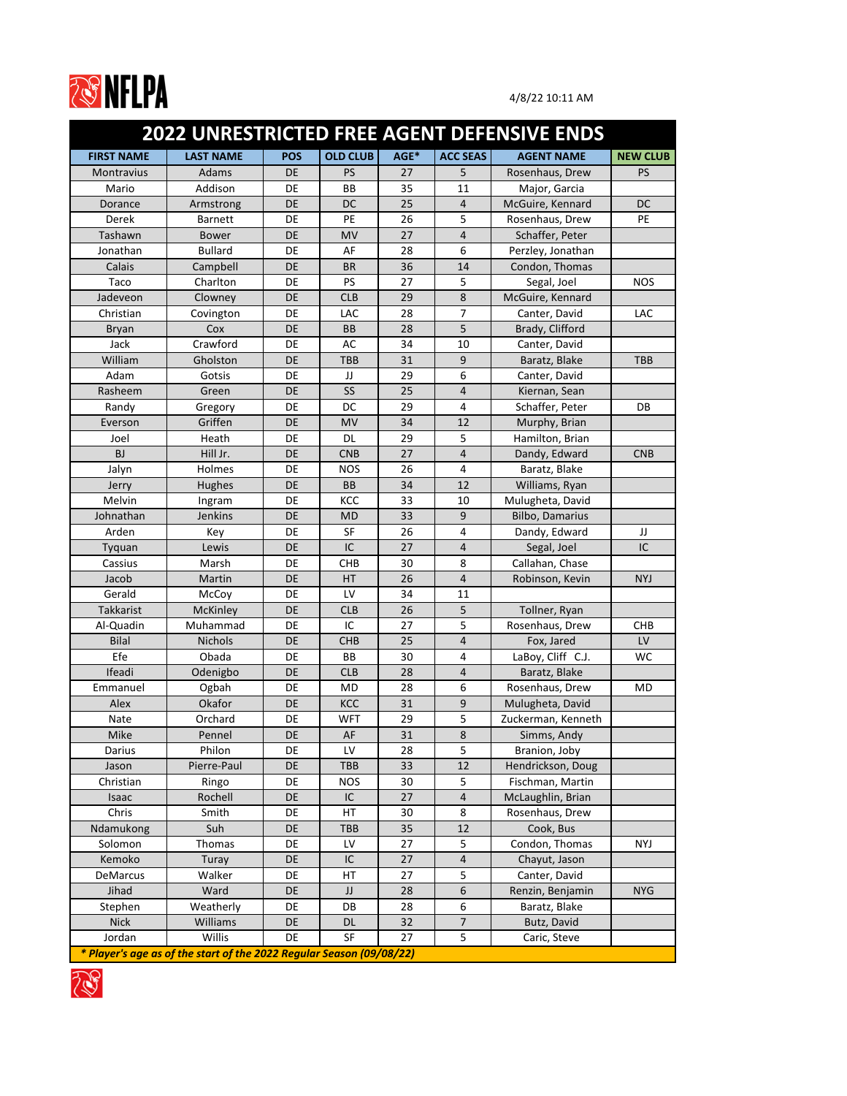

|                   | <b>2022 UNRESTRICTED FREE AGENT DEFENSIVE ENDS</b>                   |            |                 |      |                 |                    |                 |  |  |  |  |
|-------------------|----------------------------------------------------------------------|------------|-----------------|------|-----------------|--------------------|-----------------|--|--|--|--|
| <b>FIRST NAME</b> | <b>LAST NAME</b>                                                     | <b>POS</b> | <b>OLD CLUB</b> | AGE* | <b>ACC SEAS</b> | <b>AGENT NAME</b>  | <b>NEW CLUB</b> |  |  |  |  |
| <b>Montravius</b> | Adams                                                                | <b>DE</b>  | <b>PS</b>       | 27   | 5               | Rosenhaus, Drew    | <b>PS</b>       |  |  |  |  |
| Mario             | Addison                                                              | <b>DE</b>  | <b>BB</b>       | 35   | 11              | Major, Garcia      |                 |  |  |  |  |
| Dorance           | Armstrong                                                            | DE         | DC              | 25   | $\overline{4}$  | McGuire, Kennard   | <b>DC</b>       |  |  |  |  |
| Derek             | <b>Barnett</b>                                                       | DE         | PE              | 26   | 5               | Rosenhaus, Drew    | <b>PE</b>       |  |  |  |  |
| Tashawn           | <b>Bower</b>                                                         | DE         | <b>MV</b>       | 27   | $\overline{4}$  | Schaffer, Peter    |                 |  |  |  |  |
| Jonathan          | <b>Bullard</b>                                                       | DE         | AF              | 28   | 6               | Perzley, Jonathan  |                 |  |  |  |  |
| Calais            | Campbell                                                             | <b>DE</b>  | <b>BR</b>       | 36   | 14              | Condon, Thomas     |                 |  |  |  |  |
| Taco              | Charlton                                                             | DE         | <b>PS</b>       | 27   | 5               | Segal, Joel        | <b>NOS</b>      |  |  |  |  |
| Jadeveon          | Clowney                                                              | <b>DE</b>  | <b>CLB</b>      | 29   | 8               | McGuire, Kennard   |                 |  |  |  |  |
| Christian         | Covington                                                            | DE         | LAC             | 28   | $\overline{7}$  | Canter, David      | <b>LAC</b>      |  |  |  |  |
| <b>Bryan</b>      | Cox                                                                  | DE         | <b>BB</b>       | 28   | 5               | Brady, Clifford    |                 |  |  |  |  |
| Jack              | Crawford                                                             | DE         | AC              | 34   | 10              | Canter, David      |                 |  |  |  |  |
| William           | Gholston                                                             | <b>DE</b>  | <b>TBB</b>      | 31   | 9               | Baratz, Blake      | <b>TBB</b>      |  |  |  |  |
| Adam              | Gotsis                                                               | DE         | JJ              | 29   | 6               | Canter, David      |                 |  |  |  |  |
| Rasheem           | Green                                                                | DE         | SS              | 25   | $\overline{4}$  | Kiernan, Sean      |                 |  |  |  |  |
| Randy             | Gregory                                                              | DE         | DC              | 29   | $\overline{4}$  | Schaffer, Peter    | DB              |  |  |  |  |
| Everson           | Griffen                                                              | <b>DE</b>  | <b>MV</b>       | 34   | 12              | Murphy, Brian      |                 |  |  |  |  |
| Joel              | Heath                                                                | DE         | <b>DL</b>       | 29   | 5               | Hamilton, Brian    |                 |  |  |  |  |
| <b>BJ</b>         | Hill Jr.                                                             | DE         | <b>CNB</b>      | 27   | $\overline{4}$  | Dandy, Edward      | <b>CNB</b>      |  |  |  |  |
| Jalyn             | Holmes                                                               | DE         | <b>NOS</b>      | 26   | 4               | Baratz, Blake      |                 |  |  |  |  |
| Jerry             | <b>Hughes</b>                                                        | DE         | <b>BB</b>       | 34   | 12              | Williams, Ryan     |                 |  |  |  |  |
| Melvin            | Ingram                                                               | DE         | <b>KCC</b>      | 33   | 10              | Mulugheta, David   |                 |  |  |  |  |
| Johnathan         | <b>Jenkins</b>                                                       | <b>DE</b>  | <b>MD</b>       | 33   | 9               | Bilbo, Damarius    |                 |  |  |  |  |
| Arden             | Key                                                                  | DE         | <b>SF</b>       | 26   | $\overline{4}$  | Dandy, Edward      | IJ              |  |  |  |  |
| Tyquan            | Lewis                                                                | <b>DE</b>  | IC              | 27   | $\overline{4}$  | Segal, Joel        | IC              |  |  |  |  |
| Cassius           | Marsh                                                                | DE         | <b>CHB</b>      | 30   | 8               | Callahan, Chase    |                 |  |  |  |  |
| Jacob             | Martin                                                               | DE         | HT              | 26   | $\overline{4}$  | Robinson, Kevin    | <b>NYJ</b>      |  |  |  |  |
| Gerald            | McCoy                                                                | DE         | LV              | 34   | 11              |                    |                 |  |  |  |  |
| Takkarist         | <b>McKinley</b>                                                      | DE         | <b>CLB</b>      | 26   | 5               | Tollner, Ryan      |                 |  |  |  |  |
| Al-Quadin         | Muhammad                                                             | DE         | IC              | 27   | 5               | Rosenhaus, Drew    | <b>CHB</b>      |  |  |  |  |
| <b>Bilal</b>      | <b>Nichols</b>                                                       | DE         | <b>CHB</b>      | 25   | $\sqrt{4}$      | Fox, Jared         | LV              |  |  |  |  |
| Efe               | Obada                                                                | DE         | BB              | 30   | $\sqrt{4}$      | LaBoy, Cliff C.J.  | WC              |  |  |  |  |
| Ifeadi            | Odenigbo                                                             | DE         | <b>CLB</b>      | 28   | $\sqrt{4}$      | Baratz, Blake      |                 |  |  |  |  |
| Emmanuel          | Ogbah                                                                | DE         | MD              | 28   | 6               | Rosenhaus, Drew    | MD              |  |  |  |  |
| Alex              | Okafor                                                               | DE         | KCC             | 31   | $9$             | Mulugheta, David   |                 |  |  |  |  |
| Nate              | Orchard                                                              | DE         | <b>WFT</b>      | 29   | 5               | Zuckerman, Kenneth |                 |  |  |  |  |
| Mike              | Pennel                                                               | DE         | AF              | 31   | 8               | Simms, Andy        |                 |  |  |  |  |
| Darius            | Philon                                                               | DE         | LV              | 28   | 5               | Branion, Joby      |                 |  |  |  |  |
| Jason             | Pierre-Paul                                                          | DE         | <b>TBB</b>      | 33   | 12              | Hendrickson, Doug  |                 |  |  |  |  |
| Christian         | Ringo                                                                | DE         | <b>NOS</b>      | 30   | 5               | Fischman, Martin   |                 |  |  |  |  |
| Isaac             | Rochell                                                              | DE         | IC              | 27   | $\sqrt{4}$      | McLaughlin, Brian  |                 |  |  |  |  |
| Chris             | Smith                                                                | DE         | HT              | 30   | 8               | Rosenhaus, Drew    |                 |  |  |  |  |
| Ndamukong         | Suh                                                                  | <b>DE</b>  | <b>TBB</b>      | 35   | 12              | Cook, Bus          |                 |  |  |  |  |
| Solomon           | Thomas                                                               | DE         | LV              | 27   | 5               | Condon, Thomas     | NYJ             |  |  |  |  |
| Kemoko            | Turay                                                                | DE         | IC              | 27   | $\sqrt{4}$      | Chayut, Jason      |                 |  |  |  |  |
| <b>DeMarcus</b>   | Walker                                                               | DE         | HT              | 27   | 5               | Canter, David      |                 |  |  |  |  |
| Jihad             | Ward                                                                 | DE         | JJ              | 28   | 6               | Renzin, Benjamin   | <b>NYG</b>      |  |  |  |  |
| Stephen           | Weatherly                                                            | DE         | DB              | 28   | $\sqrt{6}$      | Baratz, Blake      |                 |  |  |  |  |
| <b>Nick</b>       | Williams                                                             | DE         | <b>DL</b>       | 32   | $\overline{7}$  | Butz, David        |                 |  |  |  |  |
| Jordan            | Willis                                                               | DE         | <b>SF</b>       | 27   | 5               | Caric, Steve       |                 |  |  |  |  |
|                   | * Player's age as of the start of the 2022 Regular Season (09/08/22) |            |                 |      |                 |                    |                 |  |  |  |  |

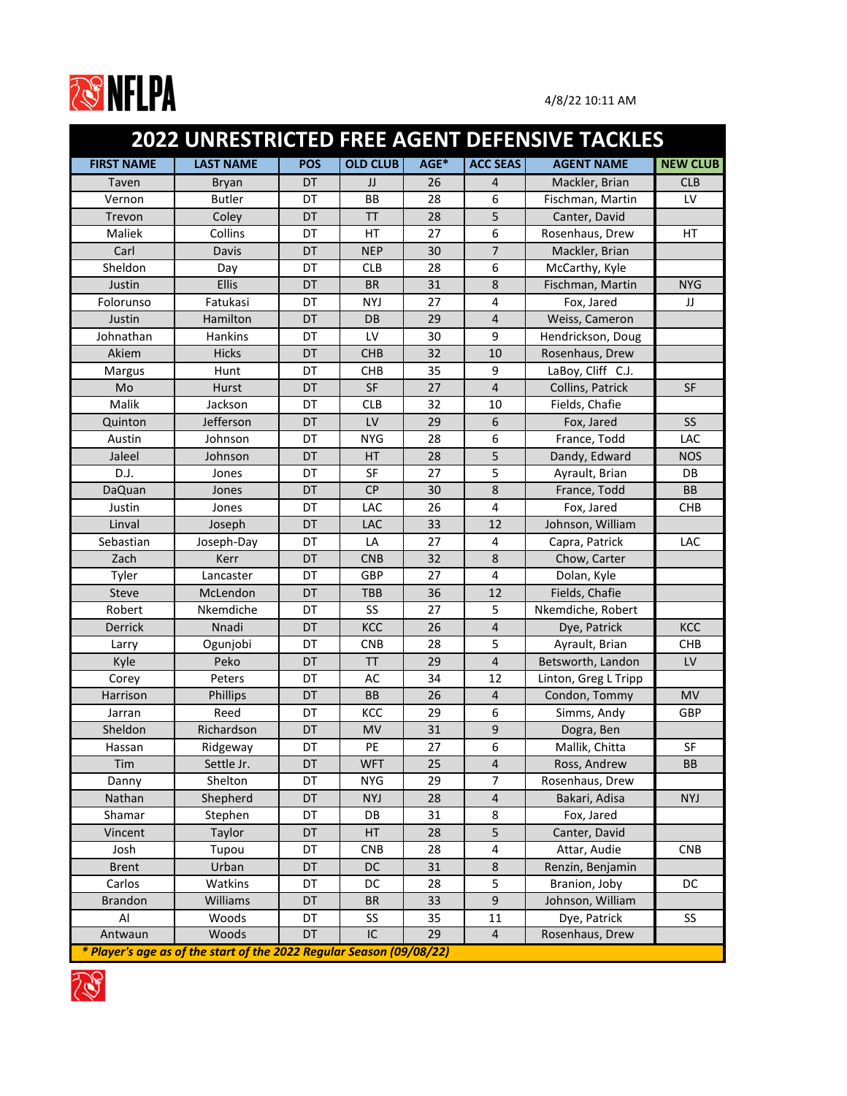

| <b>2022 UNRESTRICTED FREE AGENT DEFENSIVE TACKLES</b> |                                                                      |            |                 |      |                  |                      |                 |
|-------------------------------------------------------|----------------------------------------------------------------------|------------|-----------------|------|------------------|----------------------|-----------------|
| <b>FIRST NAME</b>                                     | <b>LAST NAME</b>                                                     | <b>POS</b> | <b>OLD CLUB</b> | AGE* | <b>ACC SEAS</b>  | <b>AGENT NAME</b>    | <b>NEW CLUB</b> |
| Taven                                                 | <b>Bryan</b>                                                         | DT         | JJ              | 26   | $\overline{4}$   | Mackler, Brian       | <b>CLB</b>      |
| Vernon                                                | <b>Butler</b>                                                        | DT         | <b>BB</b>       | 28   | 6                | Fischman, Martin     | LV              |
| Trevon                                                | Coley                                                                | DT         | <b>TT</b>       | 28   | 5                | Canter, David        |                 |
| Maliek                                                | Collins                                                              | DT         | HT              | 27   | 6                | Rosenhaus, Drew      | HT              |
| Carl                                                  | Davis                                                                | DT         | <b>NEP</b>      | 30   | $\overline{7}$   | Mackler, Brian       |                 |
| Sheldon                                               | Day                                                                  | DT         | <b>CLB</b>      | 28   | 6                | McCarthy, Kyle       |                 |
| Justin                                                | <b>Ellis</b>                                                         | DT         | <b>BR</b>       | 31   | 8                | Fischman, Martin     | <b>NYG</b>      |
| Folorunso                                             | Fatukasi                                                             | DT         | <b>NYJ</b>      | 27   | $\overline{4}$   | Fox, Jared           | JJ              |
| Justin                                                | Hamilton                                                             | DT         | <b>DB</b>       | 29   | $\overline{4}$   | Weiss, Cameron       |                 |
| Johnathan                                             | Hankins                                                              | DT         | LV              | 30   | 9                | Hendrickson, Doug    |                 |
| Akiem                                                 | <b>Hicks</b>                                                         | DT         | <b>CHB</b>      | 32   | 10               | Rosenhaus, Drew      |                 |
| Margus                                                | Hunt                                                                 | DT         | <b>CHB</b>      | 35   | 9                | LaBoy, Cliff C.J.    |                 |
| Mo                                                    | <b>Hurst</b>                                                         | DT         | <b>SF</b>       | 27   | $\overline{4}$   | Collins, Patrick     | <b>SF</b>       |
| Malik                                                 | Jackson                                                              | DT         | <b>CLB</b>      | 32   | 10               | Fields, Chafie       |                 |
| Quinton                                               | Jefferson                                                            | DT         | LV              | 29   | 6                | Fox, Jared           | <b>SS</b>       |
| Austin                                                | Johnson                                                              | DT         | <b>NYG</b>      | 28   | 6                | France, Todd         | LAC             |
| Jaleel                                                | Johnson                                                              | DT         | <b>HT</b>       | 28   | 5                | Dandy, Edward        | <b>NOS</b>      |
| D.J.                                                  | Jones                                                                | DT         | <b>SF</b>       | 27   | 5                | Ayrault, Brian       | DB              |
| <b>DaQuan</b>                                         | Jones                                                                | DT         | <b>CP</b>       | 30   | 8                | France, Todd         | <b>BB</b>       |
| Justin                                                | Jones                                                                | DT         | LAC             | 26   | $\overline{4}$   | Fox, Jared           | <b>CHB</b>      |
| Linval                                                | Joseph                                                               | DT         | LAC             | 33   | 12               | Johnson, William     |                 |
| Sebastian                                             | Joseph-Day                                                           | DT         | LA              | 27   | $\overline{4}$   | Capra, Patrick       | LAC             |
| Zach                                                  | Kerr                                                                 | DT         | <b>CNB</b>      | 32   | 8                | Chow, Carter         |                 |
| Tyler                                                 | Lancaster                                                            | DT         | <b>GBP</b>      | 27   | 4                | Dolan, Kyle          |                 |
| <b>Steve</b>                                          | McLendon                                                             | DT         | <b>TBB</b>      | 36   | 12               | Fields, Chafie       |                 |
| Robert                                                | Nkemdiche                                                            | DT         | SS              | 27   | 5                | Nkemdiche, Robert    |                 |
| Derrick                                               | Nnadi                                                                | DT         | KCC             | 26   | $\overline{4}$   | Dye, Patrick         | <b>KCC</b>      |
| Larry                                                 | Ogunjobi                                                             | DT         | <b>CNB</b>      | 28   | 5                | Ayrault, Brian       | <b>CHB</b>      |
| Kyle                                                  | Peko                                                                 | DT         | ΤT              | 29   | $\overline{4}$   | Betsworth, Landon    | LV              |
| Corey                                                 | Peters                                                               | DT         | AC              | 34   | 12               | Linton, Greg L Tripp |                 |
| Harrison                                              | <b>Phillips</b>                                                      | DT         | <b>BB</b>       | 26   | $\overline{4}$   | Condon, Tommy        | <b>MV</b>       |
| Jarran                                                | Reed                                                                 | DT         | KCC             | 29   | 6                | Simms, Andy          | <b>GBP</b>      |
| Sheldon                                               | Richardson                                                           | DT         | <b>MV</b>       | 31   | $\boldsymbol{9}$ | Dogra, Ben           |                 |
| Hassan                                                | Ridgeway                                                             | DT         | PE              | 27   | 6                | Mallik, Chitta       | <b>SF</b>       |
| Tim                                                   | Settle Jr.                                                           | DT         | <b>WFT</b>      | 25   | $\sqrt{4}$       | Ross, Andrew         | <b>BB</b>       |
| Danny                                                 | Shelton                                                              | DT         | <b>NYG</b>      | 29   | $\overline{7}$   | Rosenhaus, Drew      |                 |
| Nathan                                                | Shepherd                                                             | DT         | <b>NYJ</b>      | 28   | $\sqrt{4}$       | Bakari, Adisa        | <b>NYJ</b>      |
| Shamar                                                | Stephen                                                              | DT         | DB              | 31   | 8                | Fox, Jared           |                 |
| Vincent                                               | Taylor                                                               | DT         | <b>HT</b>       | 28   | 5                | Canter, David        |                 |
| Josh                                                  | Tupou                                                                | DT         | <b>CNB</b>      | 28   | $\sqrt{4}$       | Attar, Audie         | <b>CNB</b>      |
| <b>Brent</b>                                          | Urban                                                                | DT         | DC              | 31   | $\bf 8$          | Renzin, Benjamin     |                 |
| Carlos                                                | Watkins                                                              | DT         | DC              | 28   | 5                | Branion, Joby        | DC              |
| <b>Brandon</b>                                        | Williams                                                             | DT         | <b>BR</b>       | 33   | $\mathsf 9$      | Johnson, William     |                 |
| Al                                                    | Woods                                                                | DT         | SS              | 35   | 11               | Dye, Patrick         | SS              |
| Antwaun                                               | Woods                                                                | DT         | IC              | 29   | $\overline{4}$   | Rosenhaus, Drew      |                 |
|                                                       | * Player's age as of the start of the 2022 Regular Season (09/08/22) |            |                 |      |                  |                      |                 |

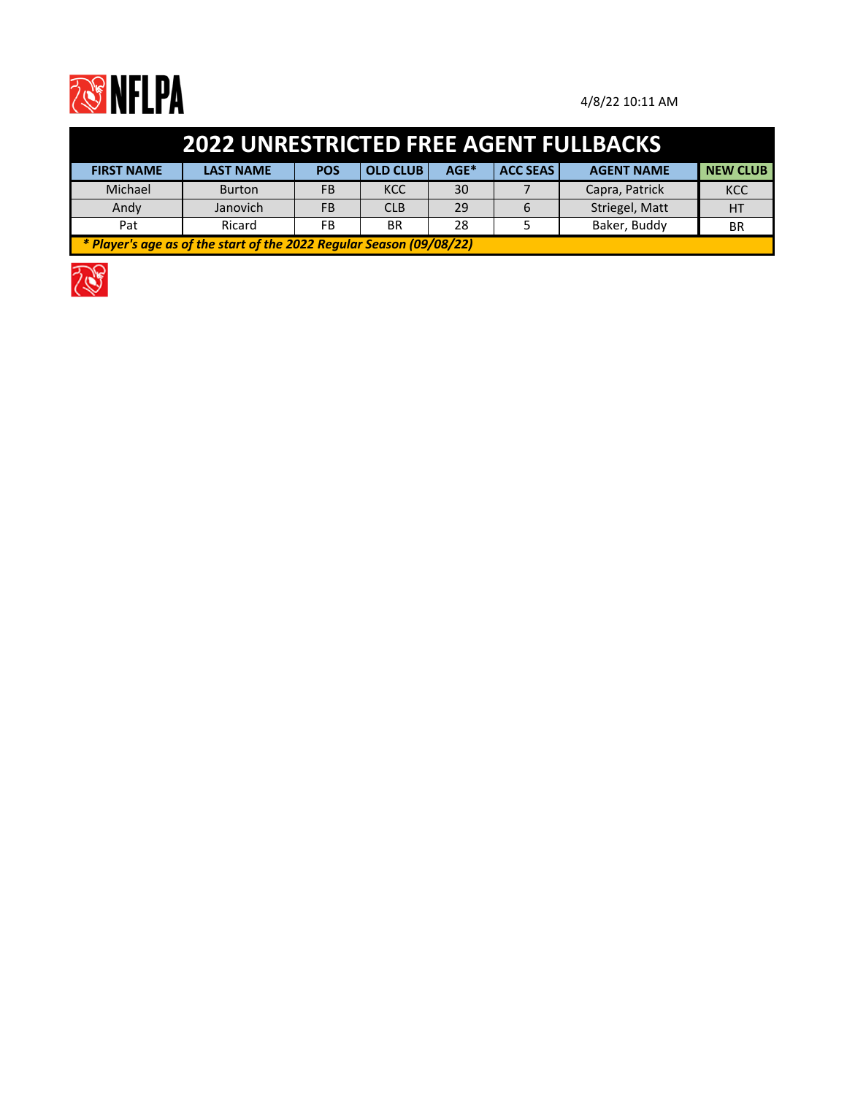

| <b>2022 UNRESTRICTED FREE AGENT FULLBACKS</b>                        |                  |            |                 |      |                 |                   |                 |  |  |  |
|----------------------------------------------------------------------|------------------|------------|-----------------|------|-----------------|-------------------|-----------------|--|--|--|
| <b>FIRST NAME</b>                                                    | <b>LAST NAME</b> | <b>POS</b> | <b>OLD CLUB</b> | AGE* | <b>ACC SEAS</b> | <b>AGENT NAME</b> | <b>NEW CLUB</b> |  |  |  |
| Michael                                                              | <b>Burton</b>    | FB         | <b>KCC</b>      | 30   |                 | Capra, Patrick    | <b>KCC</b>      |  |  |  |
| Andy                                                                 | Janovich         | FB         | <b>CLB</b>      | 29   | 6               | Striegel, Matt    | HT              |  |  |  |
| Pat                                                                  | Ricard           | FB         | <b>BR</b>       | 28   |                 | Baker, Buddy      | <b>BR</b>       |  |  |  |
| * Player's age as of the start of the 2022 Regular Season (09/08/22) |                  |            |                 |      |                 |                   |                 |  |  |  |

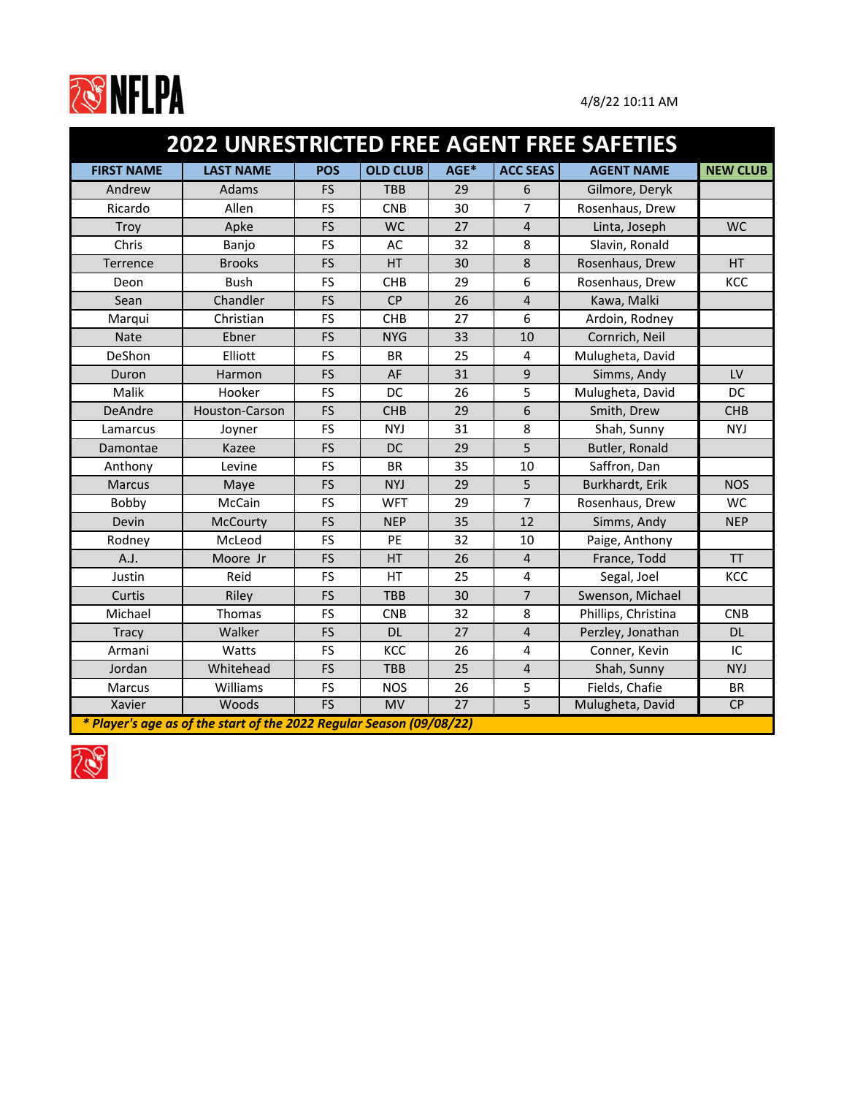

|                   | <b>2022 UNRESTRICTED FREE AGENT FREE SAFETIES</b>                    |            |                 |                 |                 |                     |                 |  |  |  |
|-------------------|----------------------------------------------------------------------|------------|-----------------|-----------------|-----------------|---------------------|-----------------|--|--|--|
| <b>FIRST NAME</b> | <b>LAST NAME</b>                                                     | <b>POS</b> | <b>OLD CLUB</b> | AGE*            | <b>ACC SEAS</b> | <b>AGENT NAME</b>   | <b>NEW CLUB</b> |  |  |  |
| Andrew            | Adams                                                                | <b>FS</b>  | <b>TBB</b>      | 29              | 6               | Gilmore, Deryk      |                 |  |  |  |
| Ricardo           | Allen                                                                | <b>FS</b>  | <b>CNB</b>      | 30              | 7               | Rosenhaus, Drew     |                 |  |  |  |
| Troy              | Apke                                                                 | <b>FS</b>  | <b>WC</b>       | 27              | $\overline{4}$  | Linta, Joseph       | <b>WC</b>       |  |  |  |
| Chris             | Banjo                                                                | <b>FS</b>  | AC              | 32              | 8               | Slavin, Ronald      |                 |  |  |  |
| Terrence          | <b>Brooks</b>                                                        | <b>FS</b>  | HT              | 30              | 8               | Rosenhaus, Drew     | <b>HT</b>       |  |  |  |
| Deon              | <b>Bush</b>                                                          | <b>FS</b>  | <b>CHB</b>      | 29              | 6               | Rosenhaus, Drew     | KCC             |  |  |  |
| Sean              | Chandler                                                             | <b>FS</b>  | <b>CP</b>       | 26              | $\overline{4}$  | Kawa, Malki         |                 |  |  |  |
| Marqui            | Christian                                                            | <b>FS</b>  | <b>CHB</b>      | 27              | 6               | Ardoin, Rodney      |                 |  |  |  |
| <b>Nate</b>       | Ebner                                                                | <b>FS</b>  | <b>NYG</b>      | 33              | 10              | Cornrich, Neil      |                 |  |  |  |
| DeShon            | Elliott                                                              | <b>FS</b>  | <b>BR</b>       | 25              | 4               | Mulugheta, David    |                 |  |  |  |
| Duron             | Harmon                                                               | <b>FS</b>  | AF              | 31              | 9               | Simms, Andy         | LV              |  |  |  |
| Malik             | Hooker                                                               | <b>FS</b>  | DC              | 26              | 5               | Mulugheta, David    | <b>DC</b>       |  |  |  |
| DeAndre           | Houston-Carson                                                       | <b>FS</b>  | <b>CHB</b>      | 29              | 6               | Smith, Drew         | <b>CHB</b>      |  |  |  |
| Lamarcus          | Joyner                                                               | <b>FS</b>  | <b>NYJ</b>      | 31              | 8               | Shah, Sunny         | <b>NYJ</b>      |  |  |  |
| Damontae          | Kazee                                                                | <b>FS</b>  | DC              | 29              | 5               | Butler, Ronald      |                 |  |  |  |
| Anthony           | Levine                                                               | <b>FS</b>  | <b>BR</b>       | 35              | 10              | Saffron, Dan        |                 |  |  |  |
| <b>Marcus</b>     | Maye                                                                 | <b>FS</b>  | <b>NYJ</b>      | 29              | 5               | Burkhardt, Erik     | <b>NOS</b>      |  |  |  |
| Bobby             | McCain                                                               | FS         | <b>WFT</b>      | 29              | $\overline{7}$  | Rosenhaus, Drew     | <b>WC</b>       |  |  |  |
| Devin             | <b>McCourty</b>                                                      | <b>FS</b>  | <b>NEP</b>      | 35              | 12              | Simms, Andy         | <b>NEP</b>      |  |  |  |
| Rodney            | McLeod                                                               | <b>FS</b>  | <b>PE</b>       | 32              | 10              | Paige, Anthony      |                 |  |  |  |
| A.J.              | Moore Jr                                                             | <b>FS</b>  | <b>HT</b>       | 26              | $\overline{4}$  | France, Todd        | <b>TT</b>       |  |  |  |
| Justin            | Reid                                                                 | <b>FS</b>  | <b>HT</b>       | 25              | 4               | Segal, Joel         | KCC             |  |  |  |
| Curtis            | Riley                                                                | FS         | <b>TBB</b>      | 30              | $\overline{7}$  | Swenson, Michael    |                 |  |  |  |
| Michael           | Thomas                                                               | FS         | <b>CNB</b>      | 32              | 8               | Phillips, Christina | <b>CNB</b>      |  |  |  |
| <b>Tracy</b>      | Walker                                                               | <b>FS</b>  | <b>DL</b>       | 27              | $\overline{4}$  | Perzley, Jonathan   | <b>DL</b>       |  |  |  |
| Armani            | Watts                                                                | <b>FS</b>  | KCC             | 26              | 4               | Conner, Kevin       | IC              |  |  |  |
| Jordan            | Whitehead                                                            | <b>FS</b>  | <b>TBB</b>      | 25              | $\overline{4}$  | Shah, Sunny         | <b>NYJ</b>      |  |  |  |
| Marcus            | Williams                                                             | FS         | <b>NOS</b>      | 26              | 5               | Fields, Chafie      | <b>BR</b>       |  |  |  |
| Xavier            | Woods                                                                | FS         | MV              | $\overline{27}$ | $\overline{5}$  | Mulugheta, David    | CP              |  |  |  |
|                   | * Player's age as of the start of the 2022 Regular Season (09/08/22) |            |                 |                 |                 |                     |                 |  |  |  |

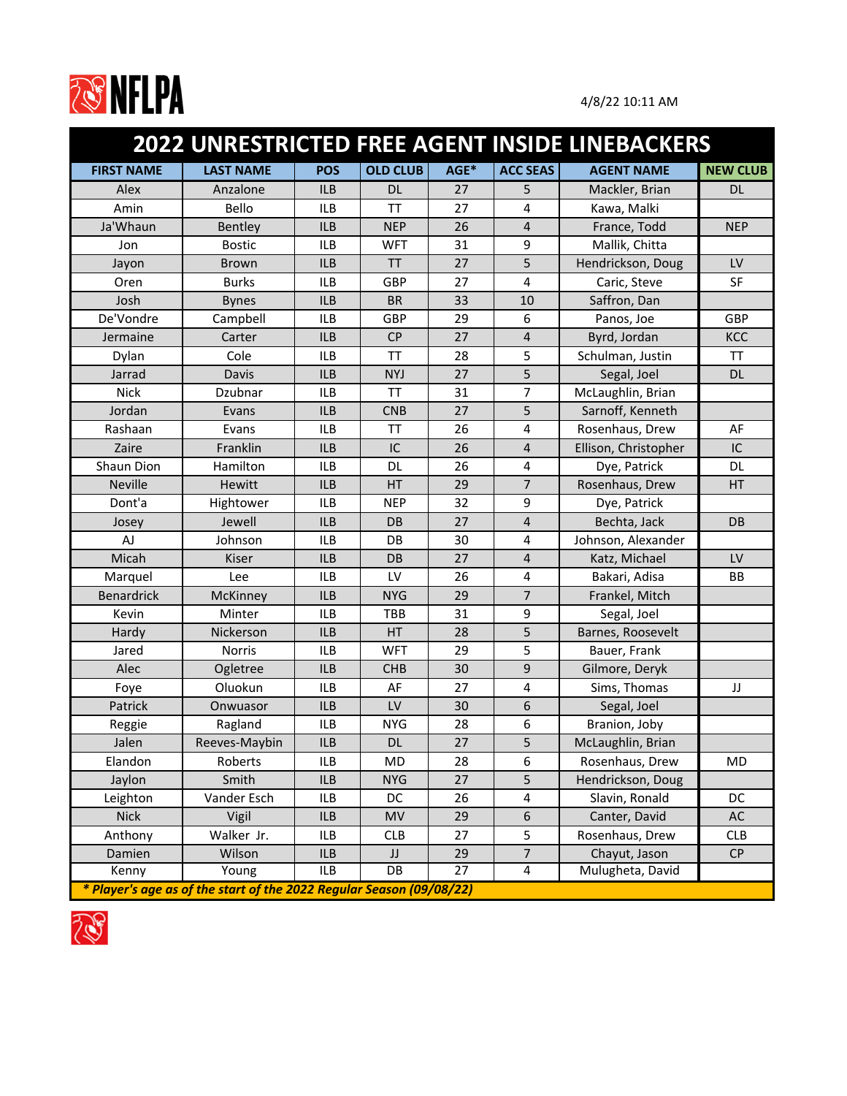

|                   | 2022 UNRESTRICTED FREE AGENT INSIDE LINEBACKERS                      |            |                 |      |                  |                      |                 |
|-------------------|----------------------------------------------------------------------|------------|-----------------|------|------------------|----------------------|-----------------|
| <b>FIRST NAME</b> | <b>LAST NAME</b>                                                     | <b>POS</b> | <b>OLD CLUB</b> | AGE* | <b>ACC SEAS</b>  | <b>AGENT NAME</b>    | <b>NEW CLUB</b> |
| Alex              | Anzalone                                                             | <b>ILB</b> | <b>DL</b>       | 27   | 5                | Mackler, Brian       | <b>DL</b>       |
| Amin              | Bello                                                                | <b>ILB</b> | <b>TT</b>       | 27   | $\overline{4}$   | Kawa, Malki          |                 |
| Ja'Whaun          | Bentley                                                              | <b>ILB</b> | <b>NEP</b>      | 26   | 4                | France, Todd         | <b>NEP</b>      |
| Jon               | <b>Bostic</b>                                                        | <b>ILB</b> | <b>WFT</b>      | 31   | 9                | Mallik, Chitta       |                 |
| Jayon             | <b>Brown</b>                                                         | <b>ILB</b> | <b>TT</b>       | 27   | 5                | Hendrickson, Doug    | LV              |
| Oren              | <b>Burks</b>                                                         | <b>ILB</b> | <b>GBP</b>      | 27   | 4                | Caric, Steve         | <b>SF</b>       |
| Josh              | <b>Bynes</b>                                                         | <b>ILB</b> | <b>BR</b>       | 33   | 10               | Saffron, Dan         |                 |
| De'Vondre         | Campbell                                                             | <b>ILB</b> | <b>GBP</b>      | 29   | 6                | Panos, Joe           | GBP             |
| Jermaine          | Carter                                                               | <b>ILB</b> | <b>CP</b>       | 27   | 4                | Byrd, Jordan         | <b>KCC</b>      |
| Dylan             | Cole                                                                 | <b>ILB</b> | <b>TT</b>       | 28   | 5                | Schulman, Justin     | <b>TT</b>       |
| Jarrad            | Davis                                                                | <b>ILB</b> | <b>NYJ</b>      | 27   | 5                | Segal, Joel          | <b>DL</b>       |
| <b>Nick</b>       | Dzubnar                                                              | <b>ILB</b> | <b>TT</b>       | 31   | 7                | McLaughlin, Brian    |                 |
| Jordan            | Evans                                                                | <b>ILB</b> | <b>CNB</b>      | 27   | 5                | Sarnoff, Kenneth     |                 |
| Rashaan           | Evans                                                                | <b>ILB</b> | <b>TT</b>       | 26   | 4                | Rosenhaus, Drew      | AF              |
| Zaire             | Franklin                                                             | <b>ILB</b> | IC              | 26   | 4                | Ellison, Christopher | IC              |
| Shaun Dion        | Hamilton                                                             | <b>ILB</b> | <b>DL</b>       | 26   | 4                | Dye, Patrick         | <b>DL</b>       |
| <b>Neville</b>    | Hewitt                                                               | <b>ILB</b> | HT              | 29   | $\overline{7}$   | Rosenhaus, Drew      | HT              |
| Dont'a            | Hightower                                                            | <b>ILB</b> | <b>NEP</b>      | 32   | 9                | Dye, Patrick         |                 |
| Josey             | Jewell                                                               | <b>ILB</b> | DB              | 27   | $\overline{4}$   | Bechta, Jack         | DB              |
| AJ                | Johnson                                                              | <b>ILB</b> | DB              | 30   | $\overline{4}$   | Johnson, Alexander   |                 |
| Micah             | <b>Kiser</b>                                                         | <b>ILB</b> | DB              | 27   | 4                | Katz, Michael        | LV              |
| Marquel           | Lee                                                                  | <b>ILB</b> | LV              | 26   | 4                | Bakari, Adisa        | <b>BB</b>       |
| <b>Benardrick</b> | McKinney                                                             | <b>ILB</b> | <b>NYG</b>      | 29   | $\overline{7}$   | Frankel, Mitch       |                 |
| Kevin             | Minter                                                               | <b>ILB</b> | TBB             | 31   | 9                | Segal, Joel          |                 |
| Hardy             | Nickerson                                                            | <b>ILB</b> | HT              | 28   | 5                | Barnes, Roosevelt    |                 |
| Jared             | <b>Norris</b>                                                        | <b>ILB</b> | <b>WFT</b>      | 29   | 5                | Bauer, Frank         |                 |
| Alec              | Ogletree                                                             | <b>ILB</b> | <b>CHB</b>      | 30   | 9                | Gilmore, Deryk       |                 |
| Foye              | Oluokun                                                              | ILB        | AF              | 27   | $\overline{4}$   | Sims, Thomas         | JJ              |
| Patrick           | Onwuasor                                                             | <b>ILB</b> | LV              | 30   | 6                | Segal, Joel          |                 |
| Reggie            | Ragland                                                              | <b>ILB</b> | <b>NYG</b>      | 28   | 6                | Branion, Joby        |                 |
| Jalen             | Reeves-Maybin                                                        | ILB        | <b>DL</b>       | 27   | 5                | McLaughlin, Brian    |                 |
| Elandon           | Roberts                                                              | ILB        | MD              | 28   | $\boldsymbol{6}$ | Rosenhaus, Drew      | <b>MD</b>       |
| Jaylon            | Smith                                                                | ILB        | <b>NYG</b>      | 27   | 5                | Hendrickson, Doug    |                 |
| Leighton          | Vander Esch                                                          | ILB        | DC              | 26   | $\overline{4}$   | Slavin, Ronald       | DC              |
| <b>Nick</b>       | Vigil                                                                | ILB        | <b>MV</b>       | 29   | 6                | Canter, David        | AC              |
| Anthony           | Walker Jr.                                                           | ILB        | <b>CLB</b>      | 27   | 5                | Rosenhaus, Drew      | <b>CLB</b>      |
| Damien            | Wilson                                                               | ILB        | JJ              | 29   | $\overline{7}$   | Chayut, Jason        | CP              |
| Kenny             | Young                                                                | ILB        | DB              | 27   | 4                | Mulugheta, David     |                 |
|                   | * Player's age as of the start of the 2022 Regular Season (09/08/22) |            |                 |      |                  |                      |                 |

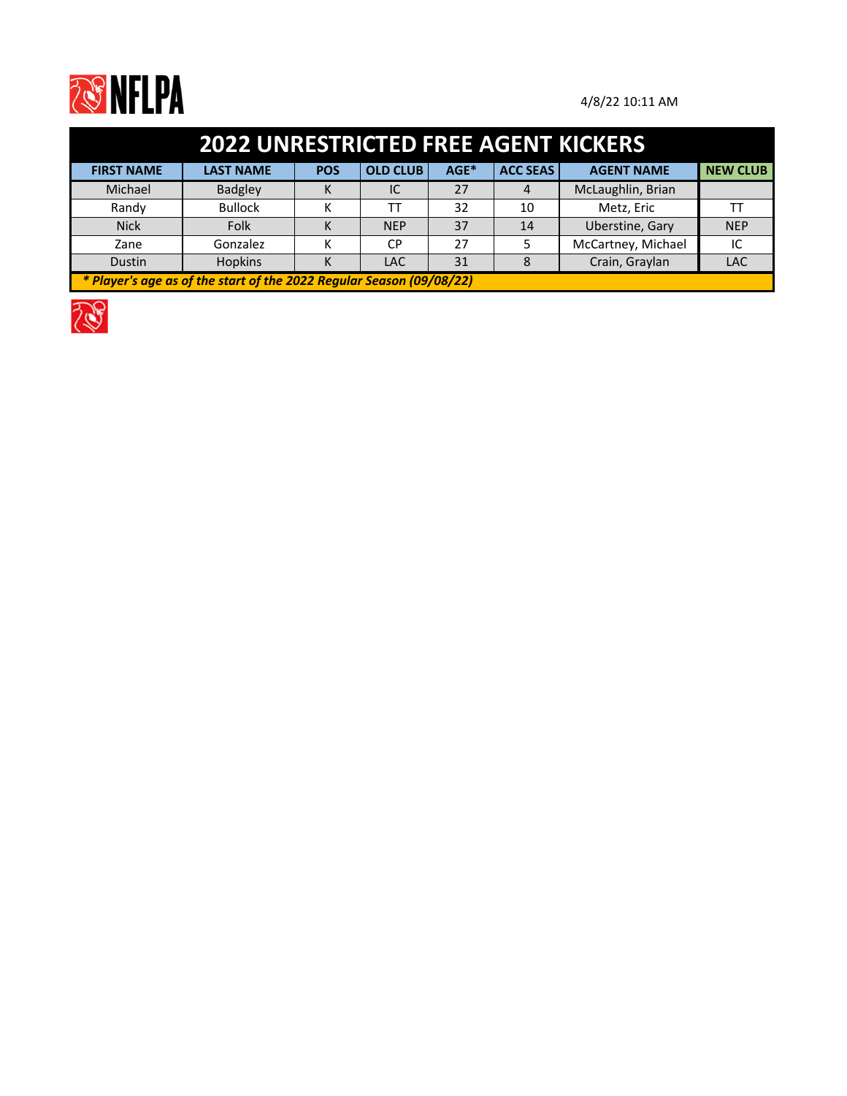

| <b>2022 UNRESTRICTED FREE AGENT KICKERS</b>                          |                  |            |                 |      |                 |                    |                 |  |  |  |
|----------------------------------------------------------------------|------------------|------------|-----------------|------|-----------------|--------------------|-----------------|--|--|--|
| <b>FIRST NAME</b>                                                    | <b>LAST NAME</b> | <b>POS</b> | <b>OLD CLUB</b> | AGE* | <b>ACC SEAS</b> | <b>AGENT NAME</b>  | <b>NEW CLUB</b> |  |  |  |
| Michael                                                              | <b>Badgley</b>   | к          | IC              | 27   | 4               | McLaughlin, Brian  |                 |  |  |  |
| Randy                                                                | <b>Bullock</b>   |            | тT              | 32   | 10              | Metz, Eric         |                 |  |  |  |
| <b>Nick</b>                                                          | Folk             | К          | <b>NEP</b>      | 37   | 14              | Uberstine, Gary    | <b>NEP</b>      |  |  |  |
| Zane                                                                 | Gonzalez         |            | <b>CP</b>       | 27   |                 | McCartney, Michael | IC              |  |  |  |
| Dustin                                                               | Hopkins          |            | <b>LAC</b>      | 31   |                 | Crain, Graylan     | <b>LAC</b>      |  |  |  |
| * Player's age as of the start of the 2022 Regular Season (09/08/22) |                  |            |                 |      |                 |                    |                 |  |  |  |

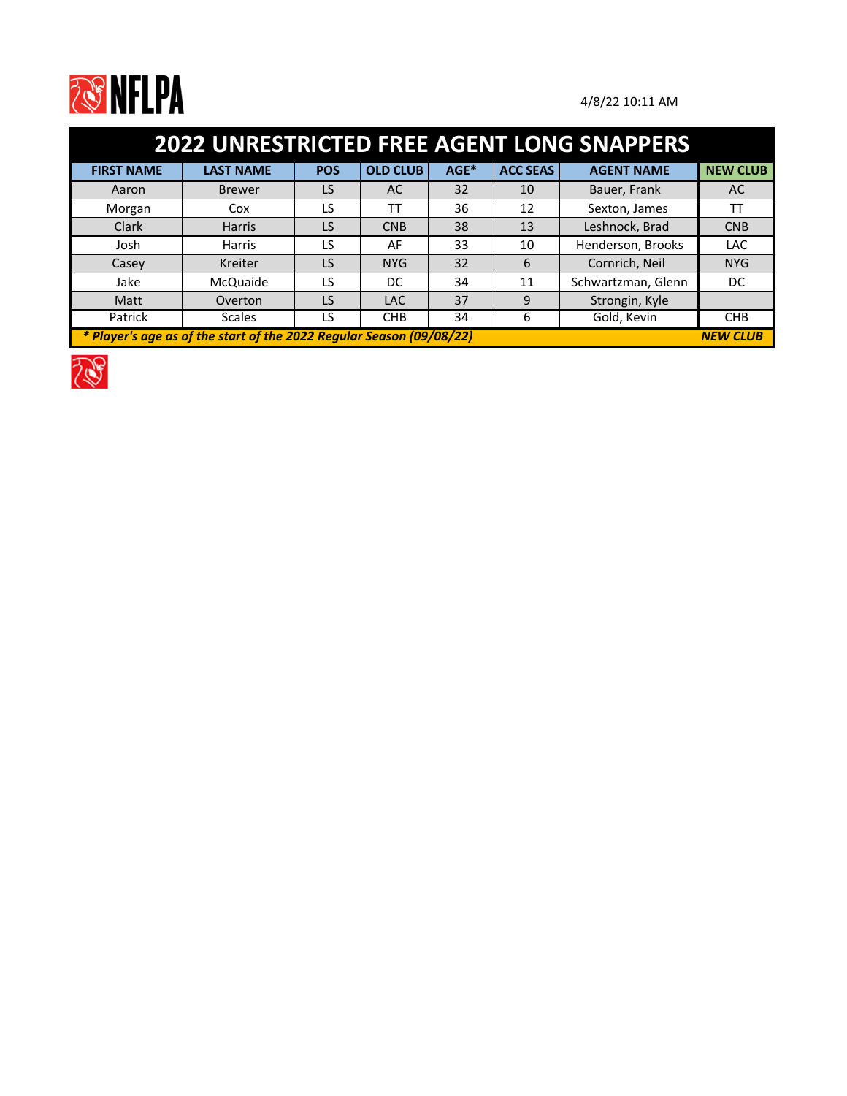

| <b>2022 UNRESTRICTED FREE AGENT LONG SNAPPERS</b>                                       |                  |            |                 |      |                 |                    |                 |  |  |  |
|-----------------------------------------------------------------------------------------|------------------|------------|-----------------|------|-----------------|--------------------|-----------------|--|--|--|
| <b>FIRST NAME</b>                                                                       | <b>LAST NAME</b> | <b>POS</b> | <b>OLD CLUB</b> | AGE* | <b>ACC SEAS</b> | <b>AGENT NAME</b>  | <b>NEW CLUB</b> |  |  |  |
| Aaron                                                                                   | <b>Brewer</b>    | LS         | AC              | 32   | 10              | Bauer, Frank       | AC              |  |  |  |
| Morgan                                                                                  | Cox              | LS         | ТT              | 36   | 12              | Sexton, James      | ТT              |  |  |  |
| Clark                                                                                   | <b>Harris</b>    | LS         | <b>CNB</b>      | 38   | 13              | Leshnock, Brad     | <b>CNB</b>      |  |  |  |
| Josh                                                                                    | Harris           | LS         | AF              | 33   | 10              | Henderson, Brooks  | <b>LAC</b>      |  |  |  |
| Casey                                                                                   | Kreiter          | LS         | <b>NYG</b>      | 32   | 6               | Cornrich, Neil     | <b>NYG</b>      |  |  |  |
| Jake                                                                                    | McQuaide         | LS         | DC              | 34   | 11              | Schwartzman, Glenn | DC.             |  |  |  |
| Matt                                                                                    | Overton          | LS         | <b>LAC</b>      | 37   | 9               | Strongin, Kyle     |                 |  |  |  |
| Patrick                                                                                 | <b>Scales</b>    | LS         | <b>CHB</b>      | 34   | 6               | Gold, Kevin        | <b>CHB</b>      |  |  |  |
| * Player's age as of the start of the 2022 Regular Season (09/08/22)<br><b>NEW CLUB</b> |                  |            |                 |      |                 |                    |                 |  |  |  |

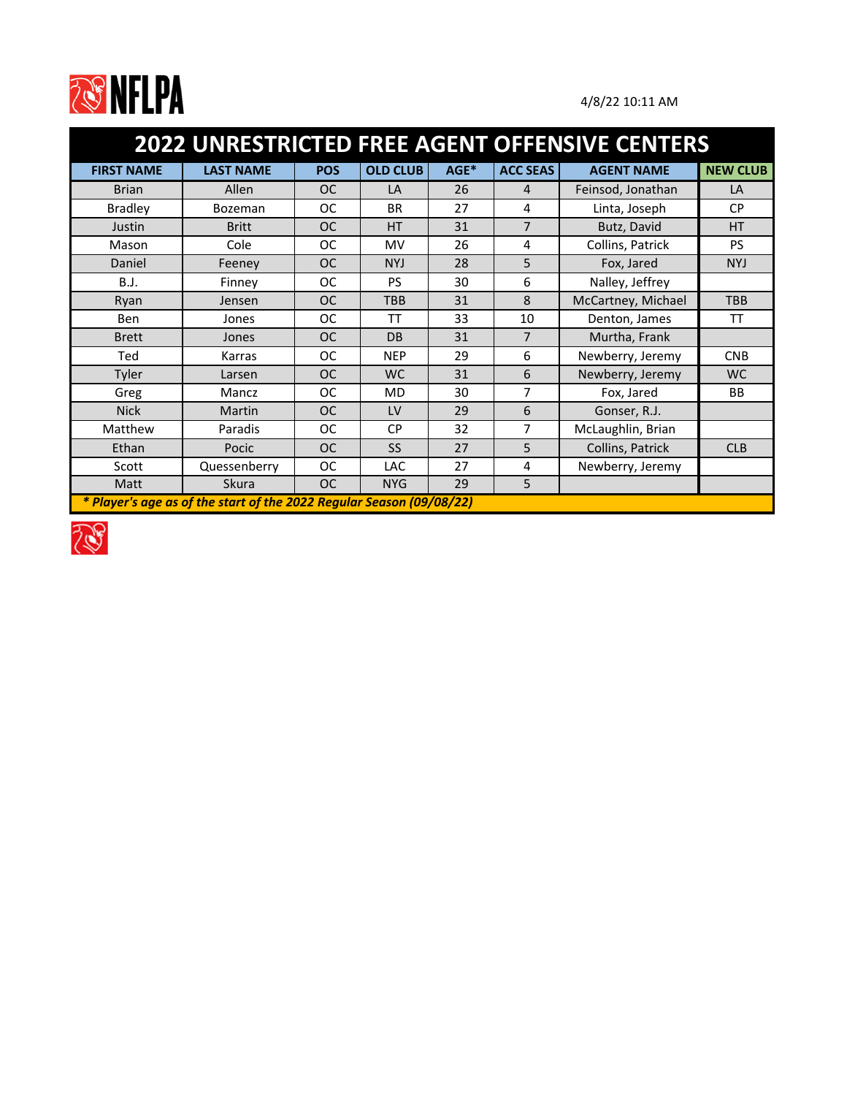

| 2022 UNRESTRICTED FREE AGENT OFFENSIVE CENTERS |                                                                      |            |                 |      |                 |                    |                 |  |  |
|------------------------------------------------|----------------------------------------------------------------------|------------|-----------------|------|-----------------|--------------------|-----------------|--|--|
| <b>FIRST NAME</b>                              | <b>LAST NAME</b>                                                     | <b>POS</b> | <b>OLD CLUB</b> | AGE* | <b>ACC SEAS</b> | <b>AGENT NAME</b>  | <b>NEW CLUB</b> |  |  |
| <b>Brian</b>                                   | Allen                                                                | <b>OC</b>  | LA              | 26   | $\overline{4}$  | Feinsod, Jonathan  | LA              |  |  |
| <b>Bradley</b>                                 | Bozeman                                                              | <b>OC</b>  | <b>BR</b>       | 27   | 4               | Linta, Joseph      | <b>CP</b>       |  |  |
| Justin                                         | <b>Britt</b>                                                         | <b>OC</b>  | HT              | 31   | $\overline{7}$  | Butz, David        | HT              |  |  |
| Mason                                          | Cole                                                                 | <b>OC</b>  | MV              | 26   | 4               | Collins, Patrick   | <b>PS</b>       |  |  |
| Daniel                                         | Feeney                                                               | <b>OC</b>  | <b>NYJ</b>      | 28   | 5               | Fox, Jared         | <b>NYJ</b>      |  |  |
| <b>B.J.</b>                                    | Finney                                                               | <b>OC</b>  | <b>PS</b>       | 30   | 6               | Nalley, Jeffrey    |                 |  |  |
| Ryan                                           | Jensen                                                               | <b>OC</b>  | <b>TBB</b>      | 31   | 8               | McCartney, Michael | <b>TBB</b>      |  |  |
| Ben                                            | Jones                                                                | <b>OC</b>  | TT              | 33   | 10              | Denton, James      | TT              |  |  |
| <b>Brett</b>                                   | Jones                                                                | <b>OC</b>  | DB              | 31   | $\overline{7}$  | Murtha, Frank      |                 |  |  |
| Ted                                            | Karras                                                               | <b>OC</b>  | <b>NEP</b>      | 29   | 6               | Newberry, Jeremy   | <b>CNB</b>      |  |  |
| Tyler                                          | Larsen                                                               | <b>OC</b>  | WC.             | 31   | 6               | Newberry, Jeremy   | WC.             |  |  |
| Greg                                           | Mancz                                                                | <b>OC</b>  | <b>MD</b>       | 30   | 7               | Fox, Jared         | <b>BB</b>       |  |  |
| <b>Nick</b>                                    | <b>Martin</b>                                                        | <b>OC</b>  | LV              | 29   | 6               | Gonser, R.J.       |                 |  |  |
| Matthew                                        | Paradis                                                              | <b>OC</b>  | <b>CP</b>       | 32   | 7               | McLaughlin, Brian  |                 |  |  |
| Ethan                                          | Pocic                                                                | <b>OC</b>  | <b>SS</b>       | 27   | 5               | Collins, Patrick   | <b>CLB</b>      |  |  |
| Scott                                          | Quessenberry                                                         | <b>OC</b>  | <b>LAC</b>      | 27   | 4               | Newberry, Jeremy   |                 |  |  |
| Matt                                           | Skura                                                                | <b>OC</b>  | <b>NYG</b>      | 29   | 5               |                    |                 |  |  |
|                                                | * Player's age as of the start of the 2022 Regular Season (09/08/22) |            |                 |      |                 |                    |                 |  |  |

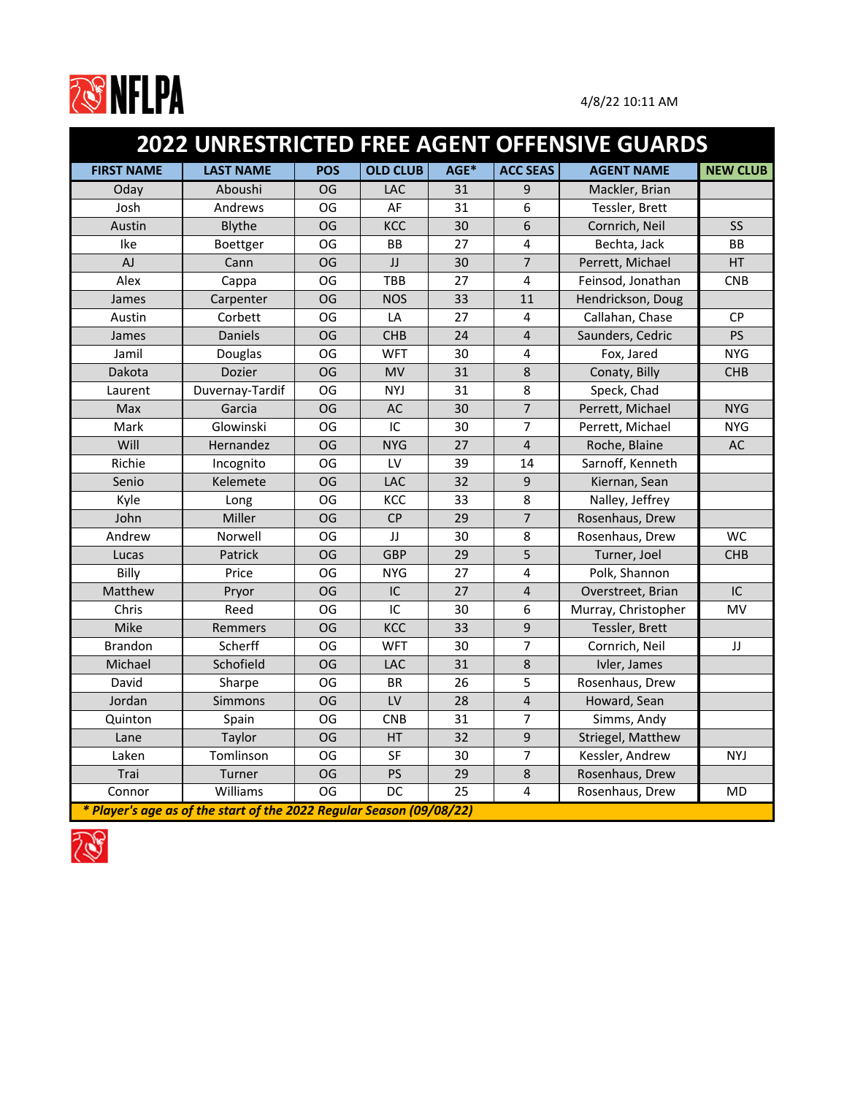

|                   |                                                                      |            |                 |      |                  | <b>2022 UNRESTRICTED FREE AGENT OFFENSIVE GUARDS</b> |                 |
|-------------------|----------------------------------------------------------------------|------------|-----------------|------|------------------|------------------------------------------------------|-----------------|
| <b>FIRST NAME</b> | <b>LAST NAME</b>                                                     | <b>POS</b> | <b>OLD CLUB</b> | AGE* | <b>ACC SEAS</b>  | <b>AGENT NAME</b>                                    | <b>NEW CLUB</b> |
| Oday              | Aboushi                                                              | OG         | <b>LAC</b>      | 31   | 9                | Mackler, Brian                                       |                 |
| Josh              | Andrews                                                              | OG         | AF              | 31   | 6                | Tessler, Brett                                       |                 |
| Austin            | Blythe                                                               | <b>OG</b>  | <b>KCC</b>      | 30   | 6                | Cornrich, Neil                                       | SS              |
| Ike               | Boettger                                                             | OG         | <b>BB</b>       | 27   | $\overline{4}$   | Bechta, Jack                                         | <b>BB</b>       |
| AJ                | Cann                                                                 | <b>OG</b>  | JJ              | 30   | $\overline{7}$   | Perrett, Michael                                     | <b>HT</b>       |
| Alex              | Cappa                                                                | OG         | <b>TBB</b>      | 27   | 4                | Feinsod, Jonathan                                    | <b>CNB</b>      |
| James             | Carpenter                                                            | <b>OG</b>  | <b>NOS</b>      | 33   | 11               | Hendrickson, Doug                                    |                 |
| Austin            | Corbett                                                              | OG         | LA              | 27   | 4                | Callahan, Chase                                      | <b>CP</b>       |
| James             | <b>Daniels</b>                                                       | <b>OG</b>  | <b>CHB</b>      | 24   | 4                | Saunders, Cedric                                     | <b>PS</b>       |
| Jamil             | Douglas                                                              | OG         | <b>WFT</b>      | 30   | 4                | Fox, Jared                                           | <b>NYG</b>      |
| Dakota            | Dozier                                                               | <b>OG</b>  | <b>MV</b>       | 31   | 8                | Conaty, Billy                                        | <b>CHB</b>      |
| Laurent           | Duvernay-Tardif                                                      | OG         | <b>NYJ</b>      | 31   | 8                | Speck, Chad                                          |                 |
| Max               | Garcia                                                               | <b>OG</b>  | AC              | 30   | $\overline{7}$   | Perrett, Michael                                     | <b>NYG</b>      |
| Mark              | Glowinski                                                            | OG         | IC              | 30   | $\overline{7}$   | Perrett, Michael                                     | <b>NYG</b>      |
| Will              | Hernandez                                                            | <b>OG</b>  | <b>NYG</b>      | 27   | 4                | Roche, Blaine                                        | AC              |
| Richie            | Incognito                                                            | OG         | LV              | 39   | 14               | Sarnoff, Kenneth                                     |                 |
| Senio             | Kelemete                                                             | <b>OG</b>  | LAC             | 32   | 9                | Kiernan, Sean                                        |                 |
| Kyle              | Long                                                                 | OG         | KCC             | 33   | 8                | Nalley, Jeffrey                                      |                 |
| John              | Miller                                                               | <b>OG</b>  | <b>CP</b>       | 29   | 7                | Rosenhaus, Drew                                      |                 |
| Andrew            | Norwell                                                              | OG         | JJ              | 30   | 8                | Rosenhaus, Drew                                      | <b>WC</b>       |
| Lucas             | Patrick                                                              | <b>OG</b>  | <b>GBP</b>      | 29   | 5                | Turner, Joel                                         | <b>CHB</b>      |
| Billy             | Price                                                                | <b>OG</b>  | <b>NYG</b>      | 27   | $\overline{4}$   | Polk, Shannon                                        |                 |
| Matthew           | Pryor                                                                | OG         | IC              | 27   | 4                | Overstreet, Brian                                    | IC              |
| Chris             | Reed                                                                 | <b>OG</b>  | IC              | 30   | 6                | Murray, Christopher                                  | MV              |
| Mike              | Remmers                                                              | <b>OG</b>  | KCC             | 33   | 9                | Tessler, Brett                                       |                 |
| <b>Brandon</b>    | Scherff                                                              | OG         | <b>WFT</b>      | 30   | 7                | Cornrich, Neil                                       | JJ              |
| Michael           | Schofield                                                            | <b>OG</b>  | LAC             | 31   | 8                | Ivler, James                                         |                 |
| David             | Sharpe                                                               | OG         | <b>BR</b>       | 26   | 5                | Rosenhaus, Drew                                      |                 |
| Jordan            | Simmons                                                              | OG         | <b>LV</b>       | 28   | 4                | Howard, Sean                                         |                 |
| Quinton           | Spain                                                                | OG         | <b>CNB</b>      | 31   | $\overline{7}$   | Simms, Andy                                          |                 |
| Lane              | Taylor                                                               | OG         | HT              | 32   | $\boldsymbol{9}$ | Striegel, Matthew                                    |                 |
| Laken             | Tomlinson                                                            | OG         | <b>SF</b>       | 30   | $\overline{7}$   | Kessler, Andrew                                      | <b>NYJ</b>      |
| Trai              | Turner                                                               | OG         | PS              | 29   | 8                | Rosenhaus, Drew                                      |                 |
| Connor            | Williams                                                             | OG         | DC              | 25   | 4                | Rosenhaus, Drew                                      | MD              |
|                   | * Player's age as of the start of the 2022 Regular Season (09/08/22) |            |                 |      |                  |                                                      |                 |

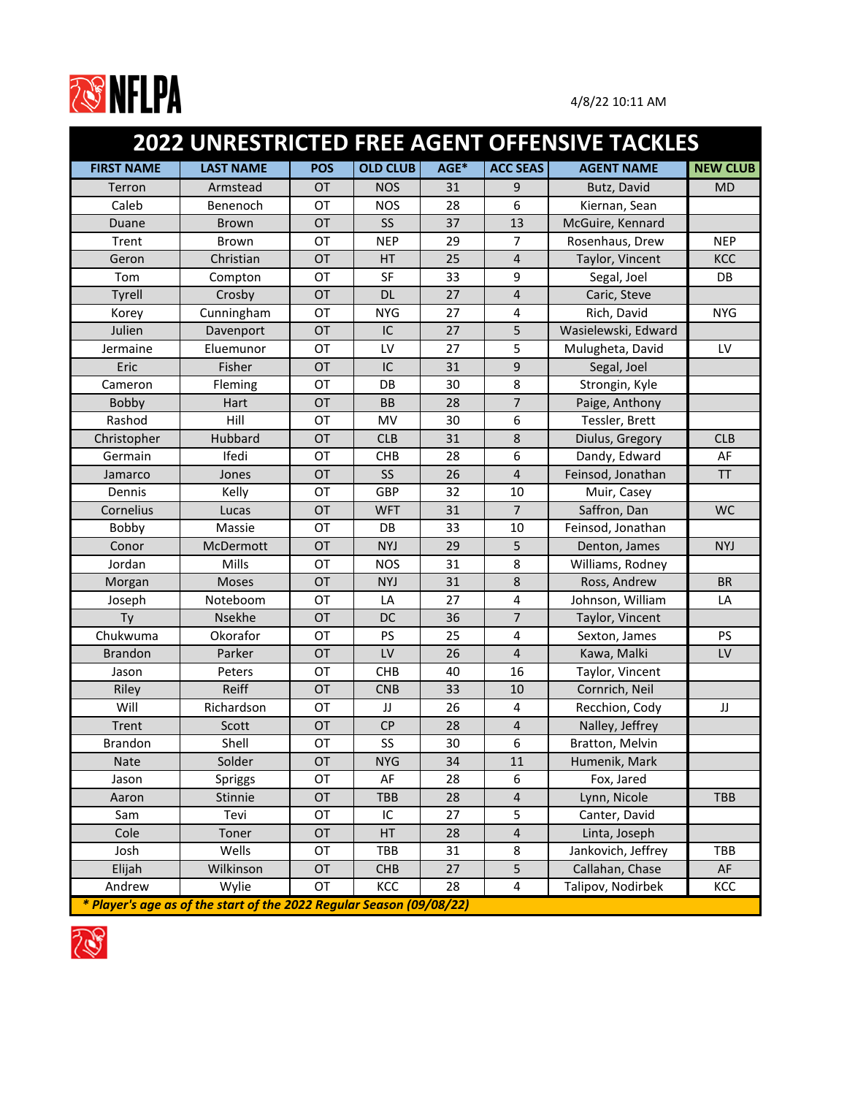

|                   |                                                                      |            |                 |      |                         | <b>2022 UNRESTRICTED FREE AGENT OFFENSIVE TACKLES</b> |                 |
|-------------------|----------------------------------------------------------------------|------------|-----------------|------|-------------------------|-------------------------------------------------------|-----------------|
| <b>FIRST NAME</b> | <b>LAST NAME</b>                                                     | <b>POS</b> | <b>OLD CLUB</b> | AGE* | <b>ACC SEAS</b>         | <b>AGENT NAME</b>                                     | <b>NEW CLUB</b> |
| Terron            | Armstead                                                             | <b>OT</b>  | <b>NOS</b>      | 31   | 9                       | Butz, David                                           | <b>MD</b>       |
| Caleb             | Benenoch                                                             | <b>OT</b>  | <b>NOS</b>      | 28   | 6                       | Kiernan, Sean                                         |                 |
| Duane             | <b>Brown</b>                                                         | <b>OT</b>  | <b>SS</b>       | 37   | 13                      | McGuire, Kennard                                      |                 |
| Trent             | <b>Brown</b>                                                         | <b>OT</b>  | <b>NEP</b>      | 29   | $\overline{7}$          | Rosenhaus, Drew                                       | <b>NEP</b>      |
| Geron             | Christian                                                            | <b>OT</b>  | HT              | 25   | 4                       | Taylor, Vincent                                       | KCC             |
| Tom               | Compton                                                              | <b>OT</b>  | SF              | 33   | 9                       | Segal, Joel                                           | DB              |
| Tyrell            | Crosby                                                               | <b>OT</b>  | <b>DL</b>       | 27   | 4                       | Caric, Steve                                          |                 |
| Korey             | Cunningham                                                           | <b>OT</b>  | <b>NYG</b>      | 27   | $\overline{4}$          | Rich, David                                           | <b>NYG</b>      |
| Julien            | Davenport                                                            | <b>OT</b>  | IC              | 27   | 5                       | Wasielewski, Edward                                   |                 |
| Jermaine          | Eluemunor                                                            | <b>OT</b>  | LV              | 27   | 5                       | Mulugheta, David                                      | LV              |
| Eric              | Fisher                                                               | <b>OT</b>  | IC              | 31   | 9                       | Segal, Joel                                           |                 |
| Cameron           | Fleming                                                              | <b>OT</b>  | DB              | 30   | 8                       | Strongin, Kyle                                        |                 |
| Bobby             | Hart                                                                 | <b>OT</b>  | <b>BB</b>       | 28   | $\overline{7}$          | Paige, Anthony                                        |                 |
| Rashod            | Hill                                                                 | <b>OT</b>  | MV              | 30   | 6                       | Tessler, Brett                                        |                 |
| Christopher       | Hubbard                                                              | <b>OT</b>  | <b>CLB</b>      | 31   | 8                       | Diulus, Gregory                                       | <b>CLB</b>      |
| Germain           | Ifedi                                                                | <b>OT</b>  | <b>CHB</b>      | 28   | 6                       | Dandy, Edward                                         | AF              |
| Jamarco           | Jones                                                                | <b>OT</b>  | <b>SS</b>       | 26   | $\overline{4}$          | Feinsod, Jonathan                                     | <b>TT</b>       |
| Dennis            | Kelly                                                                | <b>OT</b>  | <b>GBP</b>      | 32   | 10                      | Muir, Casey                                           |                 |
| Cornelius         | Lucas                                                                | <b>OT</b>  | <b>WFT</b>      | 31   | $\overline{7}$          | Saffron, Dan                                          | <b>WC</b>       |
| Bobby             | Massie                                                               | <b>OT</b>  | DB              | 33   | 10                      | Feinsod, Jonathan                                     |                 |
| Conor             | McDermott                                                            | <b>OT</b>  | <b>NYJ</b>      | 29   | 5                       | Denton, James                                         | <b>NYJ</b>      |
| Jordan            | Mills                                                                | <b>OT</b>  | <b>NOS</b>      | 31   | 8                       | Williams, Rodney                                      |                 |
| Morgan            | <b>Moses</b>                                                         | <b>OT</b>  | <b>NYJ</b>      | 31   | 8                       | Ross, Andrew                                          | <b>BR</b>       |
| Joseph            | Noteboom                                                             | <b>OT</b>  | LA              | 27   | 4                       | Johnson, William                                      | LA              |
| Ty                | Nsekhe                                                               | <b>OT</b>  | <b>DC</b>       | 36   | $\overline{7}$          | Taylor, Vincent                                       |                 |
| Chukwuma          | Okorafor                                                             | <b>OT</b>  | PS              | 25   | 4                       | Sexton, James                                         | <b>PS</b>       |
| <b>Brandon</b>    | Parker                                                               | <b>OT</b>  | LV              | 26   | $\overline{\mathbf{4}}$ | Kawa, Malki                                           | LV              |
| Jason             | Peters                                                               | OT         | <b>CHB</b>      | 40   | 16                      | Taylor, Vincent                                       |                 |
| Riley             | Reiff                                                                | OT         | <b>CNB</b>      | 33   | 10                      | Cornrich, Neil                                        |                 |
| Will              | Richardson                                                           | OT         | JJ              | 26   | 4                       | Recchion, Cody                                        | JJ              |
| Trent             | Scott                                                                | OT         | <b>CP</b>       | 28   | $\overline{4}$          | Nalley, Jeffrey                                       |                 |
| <b>Brandon</b>    | Shell                                                                | OT         | SS              | 30   | 6                       | Bratton, Melvin                                       |                 |
| Nate              | Solder                                                               | OT         | <b>NYG</b>      | 34   | 11                      | Humenik, Mark                                         |                 |
| Jason             | Spriggs                                                              | OT         | AF              | 28   | 6                       | Fox, Jared                                            |                 |
| Aaron             | Stinnie                                                              | OT         | <b>TBB</b>      | 28   | $\overline{\mathbf{4}}$ | Lynn, Nicole                                          | TBB             |
| Sam               | Tevi                                                                 | OT         | IC              | 27   | 5                       | Canter, David                                         |                 |
| Cole              | Toner                                                                | OT         | HT              | 28   | $\overline{\mathbf{4}}$ | Linta, Joseph                                         |                 |
| Josh              | Wells                                                                | OT         | TBB             | 31   | 8                       | Jankovich, Jeffrey                                    | TBB             |
| Elijah            | Wilkinson                                                            | OT         | <b>CHB</b>      | 27   | 5                       | Callahan, Chase                                       | AF              |
| Andrew            | Wylie                                                                | OT         | KCC             | 28   | $\overline{\mathbf{4}}$ | Talipov, Nodirbek                                     | <b>KCC</b>      |
|                   | * Player's age as of the start of the 2022 Regular Season (09/08/22) |            |                 |      |                         |                                                       |                 |

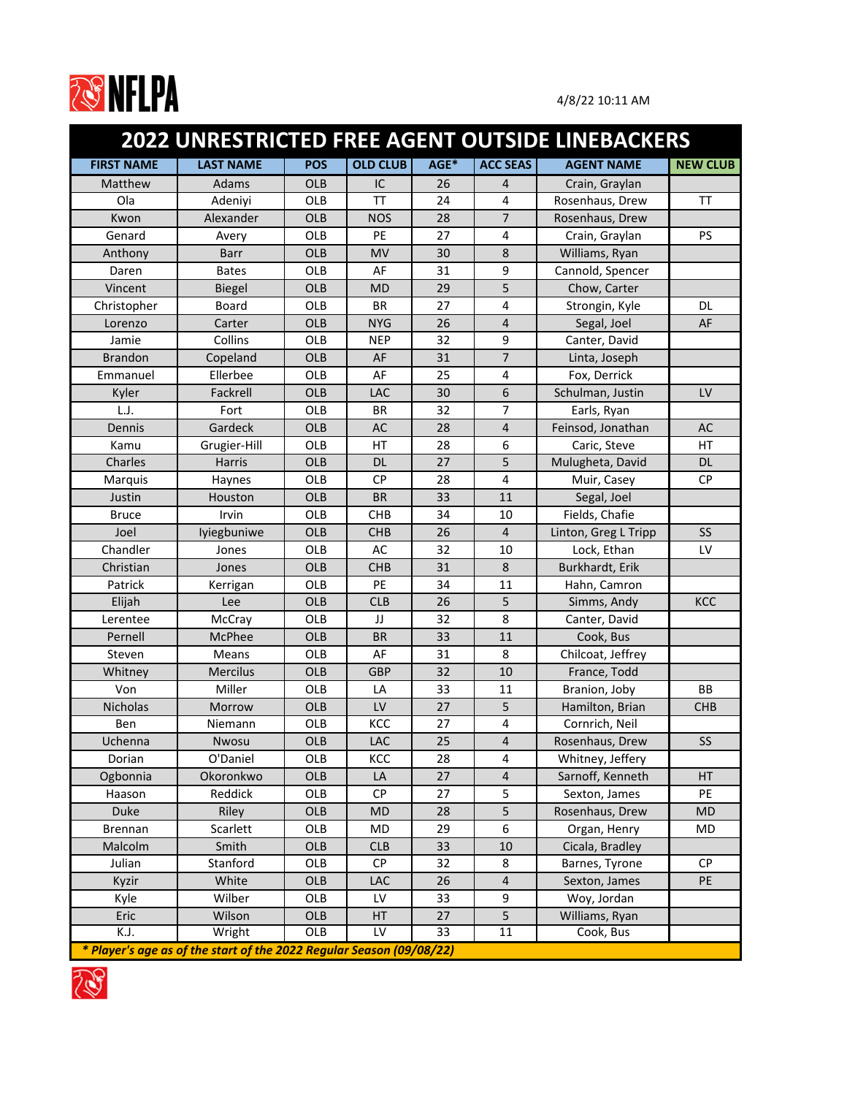

|                   | <b>2022 UNRESTRICTED FREE AGENT OUTSIDE LINEBACKERS</b>              |            |                 |      |                 |                      |                 |  |  |  |
|-------------------|----------------------------------------------------------------------|------------|-----------------|------|-----------------|----------------------|-----------------|--|--|--|
| <b>FIRST NAME</b> | <b>LAST NAME</b>                                                     | <b>POS</b> | <b>OLD CLUB</b> | AGE* | <b>ACC SEAS</b> | <b>AGENT NAME</b>    | <b>NEW CLUB</b> |  |  |  |
| Matthew           | Adams                                                                | <b>OLB</b> | IC              | 26   | 4               | Crain, Graylan       |                 |  |  |  |
| Ola               | Adeniyi                                                              | OLB        | <b>TT</b>       | 24   | $\overline{4}$  | Rosenhaus, Drew      | <b>TT</b>       |  |  |  |
| Kwon              | Alexander                                                            | <b>OLB</b> | <b>NOS</b>      | 28   | $\overline{7}$  | Rosenhaus, Drew      |                 |  |  |  |
| Genard            | Avery                                                                | <b>OLB</b> | PE              | 27   | 4               | Crain, Graylan       | <b>PS</b>       |  |  |  |
| Anthony           | <b>Barr</b>                                                          | <b>OLB</b> | <b>MV</b>       | 30   | $\,8$           | Williams, Ryan       |                 |  |  |  |
| Daren             | <b>Bates</b>                                                         | <b>OLB</b> | AF              | 31   | 9               | Cannold, Spencer     |                 |  |  |  |
| Vincent           | <b>Biegel</b>                                                        | <b>OLB</b> | <b>MD</b>       | 29   | 5               | Chow, Carter         |                 |  |  |  |
| Christopher       | <b>Board</b>                                                         | <b>OLB</b> | <b>BR</b>       | 27   | 4               | Strongin, Kyle       | <b>DL</b>       |  |  |  |
| Lorenzo           | Carter                                                               | <b>OLB</b> | <b>NYG</b>      | 26   | $\overline{4}$  | Segal, Joel          | AF              |  |  |  |
| Jamie             | Collins                                                              | OLB        | <b>NEP</b>      | 32   | 9               | Canter, David        |                 |  |  |  |
| <b>Brandon</b>    | Copeland                                                             | <b>OLB</b> | AF              | 31   | $\overline{7}$  | Linta, Joseph        |                 |  |  |  |
| Emmanuel          | Ellerbee                                                             | <b>OLB</b> | AF              | 25   | 4               | Fox, Derrick         |                 |  |  |  |
| Kyler             | Fackrell                                                             | <b>OLB</b> | LAC             | 30   | 6               | Schulman, Justin     | LV              |  |  |  |
| L.J.              | Fort                                                                 | OLB        | <b>BR</b>       | 32   | $\overline{7}$  | Earls, Ryan          |                 |  |  |  |
| Dennis            | Gardeck                                                              | <b>OLB</b> | <b>AC</b>       | 28   | 4               | Feinsod, Jonathan    | AC              |  |  |  |
| Kamu              | Grugier-Hill                                                         | <b>OLB</b> | HT              | 28   | 6               | Caric, Steve         | HT              |  |  |  |
| Charles           | <b>Harris</b>                                                        | <b>OLB</b> | <b>DL</b>       | 27   | 5               | Mulugheta, David     | <b>DL</b>       |  |  |  |
| Marquis           | Haynes                                                               | <b>OLB</b> | <b>CP</b>       | 28   | $\overline{4}$  | Muir, Casey          | <b>CP</b>       |  |  |  |
| Justin            | Houston                                                              | <b>OLB</b> | <b>BR</b>       | 33   | 11              | Segal, Joel          |                 |  |  |  |
| <b>Bruce</b>      | Irvin                                                                | OLB        | <b>CHB</b>      | 34   | 10              | Fields, Chafie       |                 |  |  |  |
| Joel              | Iyiegbuniwe                                                          | <b>OLB</b> | <b>CHB</b>      | 26   | $\overline{4}$  | Linton, Greg L Tripp | <b>SS</b>       |  |  |  |
| Chandler          | Jones                                                                | <b>OLB</b> | AC              | 32   | 10              | Lock, Ethan          | LV              |  |  |  |
| Christian         | Jones                                                                | <b>OLB</b> | <b>CHB</b>      | 31   | 8               | Burkhardt, Erik      |                 |  |  |  |
| Patrick           | Kerrigan                                                             | <b>OLB</b> | PE              | 34   | 11              | Hahn, Camron         |                 |  |  |  |
| Elijah            | Lee                                                                  | <b>OLB</b> | <b>CLB</b>      | 26   | 5               | Simms, Andy          | KCC             |  |  |  |
| Lerentee          | McCray                                                               | OLB        | JJ              | 32   | 8               | Canter, David        |                 |  |  |  |
| Pernell           | McPhee                                                               | <b>OLB</b> | <b>BR</b>       | 33   | 11              | Cook, Bus            |                 |  |  |  |
| Steven            | Means                                                                | OLB        | AF              | 31   | 8               | Chilcoat, Jeffrey    |                 |  |  |  |
| Whitney           | <b>Mercilus</b>                                                      | OLB        | <b>GBP</b>      | 32   | 10              | France, Todd         |                 |  |  |  |
| Von               | Miller                                                               | OLB        | LA              | 33   | 11              | Branion, Joby        | <b>BB</b>       |  |  |  |
| Nicholas          | Morrow                                                               | OLB        | $\mathsf{LV}$   | 27   | 5               | Hamilton, Brian      | <b>CHB</b>      |  |  |  |
| Ben               | Niemann                                                              | OLB        | KCC             | 27   | 4               | Cornrich, Neil       |                 |  |  |  |
| Uchenna           | Nwosu                                                                | OLB        | LAC             | 25   | $\overline{4}$  | Rosenhaus, Drew      | SS              |  |  |  |
| Dorian            | O'Daniel                                                             | OLB        | KCC             | 28   | 4               | Whitney, Jeffery     |                 |  |  |  |
| Ogbonnia          | Okoronkwo                                                            | <b>OLB</b> | LA              | 27   | $\overline{4}$  | Sarnoff, Kenneth     | <b>HT</b>       |  |  |  |
| Haason            | Reddick                                                              | OLB        | <b>CP</b>       | 27   | 5               | Sexton, James        | PE              |  |  |  |
| <b>Duke</b>       | Riley                                                                | OLB        | <b>MD</b>       | 28   | 5               | Rosenhaus, Drew      | <b>MD</b>       |  |  |  |
| <b>Brennan</b>    | Scarlett                                                             | OLB        | MD              | 29   | 6               | Organ, Henry         | MD              |  |  |  |
| Malcolm           | Smith                                                                | OLB        | <b>CLB</b>      | 33   | 10              | Cicala, Bradley      |                 |  |  |  |
| Julian            | Stanford                                                             | OLB        | <b>CP</b>       | 32   | 8               | Barnes, Tyrone       | <b>CP</b>       |  |  |  |
| Kyzir             | White                                                                | OLB        | <b>LAC</b>      | 26   | $\overline{4}$  | Sexton, James        | PE              |  |  |  |
| Kyle              | Wilber                                                               | OLB        | LV              | 33   | 9               | Woy, Jordan          |                 |  |  |  |
| Eric              | Wilson                                                               | OLB        | HT              | 27   | 5               | Williams, Ryan       |                 |  |  |  |
| K.J.              | Wright                                                               | OLB        | LV              | 33   | 11              | Cook, Bus            |                 |  |  |  |
|                   | * Player's age as of the start of the 2022 Regular Season (09/08/22) |            |                 |      |                 |                      |                 |  |  |  |

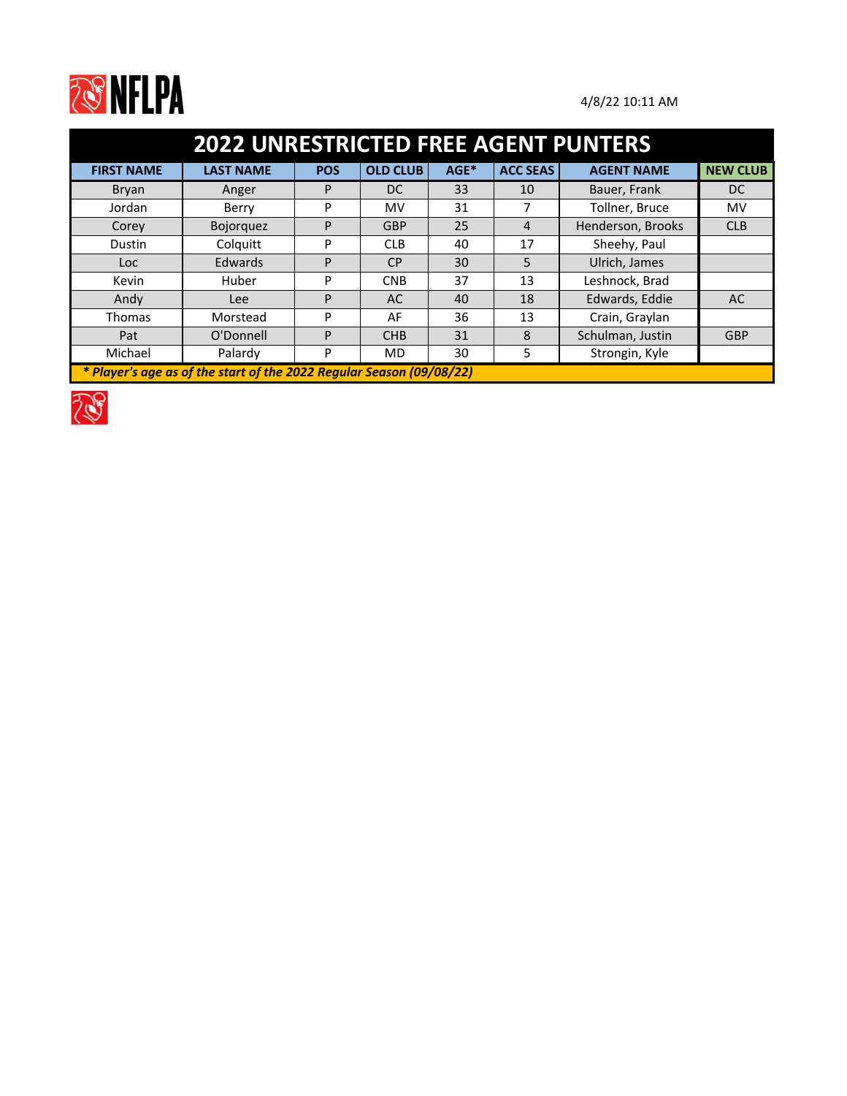

| <b>2022 UNRESTRICTED FREE AGENT PUNTERS</b>                          |                  |            |                 |      |                 |                   |                 |  |  |
|----------------------------------------------------------------------|------------------|------------|-----------------|------|-----------------|-------------------|-----------------|--|--|
| <b>FIRST NAME</b>                                                    | <b>LAST NAME</b> | <b>POS</b> | <b>OLD CLUB</b> | AGE* | <b>ACC SEAS</b> | <b>AGENT NAME</b> | <b>NEW CLUB</b> |  |  |
| <b>Bryan</b>                                                         | Anger            | P          | <sub>DC</sub>   | 33   | 10              | Bauer, Frank      | DC.             |  |  |
| Jordan                                                               | Berry            | P          | MV              | 31   |                 | Tollner, Bruce    | MV              |  |  |
| Corey                                                                | <b>Bojorquez</b> | P          | <b>GBP</b>      | 25   | 4               | Henderson, Brooks | <b>CLB</b>      |  |  |
| Dustin                                                               | Colquitt         | P          | <b>CLB</b>      | 40   | 17              | Sheehy, Paul      |                 |  |  |
| Loc.                                                                 | Edwards          | P          | <b>CP</b>       | 30   | 5               | Ulrich, James     |                 |  |  |
| Kevin                                                                | Huber            | P          | <b>CNB</b>      | 37   | 13              | Leshnock, Brad    |                 |  |  |
| Andy                                                                 | Lee              | P          | AC              | 40   | 18              | Edwards, Eddie    | AC              |  |  |
| <b>Thomas</b>                                                        | Morstead         | P          | AF              | 36   | 13              | Crain, Graylan    |                 |  |  |
| Pat                                                                  | O'Donnell        | P          | <b>CHB</b>      | 31   | 8               | Schulman, Justin  | <b>GBP</b>      |  |  |
| Michael                                                              | Palardy          | P          | <b>MD</b>       | 30   | 5               | Strongin, Kyle    |                 |  |  |
| * Player's age as of the start of the 2022 Regular Season (09/08/22) |                  |            |                 |      |                 |                   |                 |  |  |

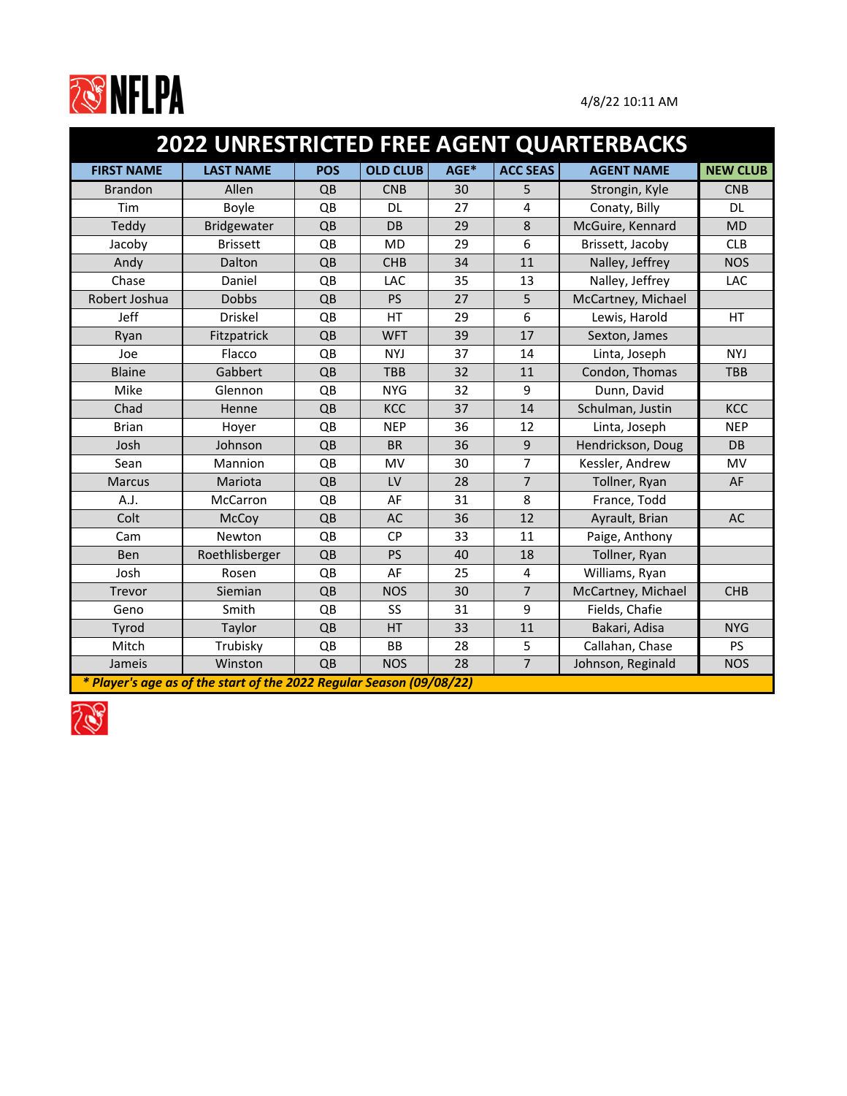

| 2022 UNRESTRICTED FREE AGENT QUARTERBACKS |                                                                      |            |                 |      |                 |                    |                 |  |  |  |
|-------------------------------------------|----------------------------------------------------------------------|------------|-----------------|------|-----------------|--------------------|-----------------|--|--|--|
| <b>FIRST NAME</b>                         | <b>LAST NAME</b>                                                     | <b>POS</b> | <b>OLD CLUB</b> | AGE* | <b>ACC SEAS</b> | <b>AGENT NAME</b>  | <b>NEW CLUB</b> |  |  |  |
| <b>Brandon</b>                            | Allen                                                                | QB         | <b>CNB</b>      | 30   | 5               | Strongin, Kyle     | <b>CNB</b>      |  |  |  |
| Tim                                       | Boyle                                                                | QB         | <b>DL</b>       | 27   | 4               | Conaty, Billy      | <b>DL</b>       |  |  |  |
| Teddy                                     | Bridgewater                                                          | QB         | DB              | 29   | 8               | McGuire, Kennard   | <b>MD</b>       |  |  |  |
| Jacoby                                    | <b>Brissett</b>                                                      | QB         | <b>MD</b>       | 29   | 6               | Brissett, Jacoby   | <b>CLB</b>      |  |  |  |
| Andy                                      | Dalton                                                               | QB         | <b>CHB</b>      | 34   | 11              | Nalley, Jeffrey    | <b>NOS</b>      |  |  |  |
| Chase                                     | Daniel                                                               | QB         | LAC             | 35   | 13              | Nalley, Jeffrey    | LAC             |  |  |  |
| Robert Joshua                             | <b>Dobbs</b>                                                         | QB         | <b>PS</b>       | 27   | 5               | McCartney, Michael |                 |  |  |  |
| Jeff                                      | <b>Driskel</b>                                                       | QB         | HT              | 29   | 6               | Lewis, Harold      | HT              |  |  |  |
| Ryan                                      | Fitzpatrick                                                          | QB         | <b>WFT</b>      | 39   | 17              | Sexton, James      |                 |  |  |  |
| Joe                                       | Flacco                                                               | QB         | <b>NYJ</b>      | 37   | 14              | Linta, Joseph      | <b>NYJ</b>      |  |  |  |
| <b>Blaine</b>                             | Gabbert                                                              | QB         | <b>TBB</b>      | 32   | 11              | Condon, Thomas     | <b>TBB</b>      |  |  |  |
| Mike                                      | Glennon                                                              | QB         | <b>NYG</b>      | 32   | 9               | Dunn, David        |                 |  |  |  |
| Chad                                      | Henne                                                                | QB         | KCC             | 37   | 14              | Schulman, Justin   | <b>KCC</b>      |  |  |  |
| <b>Brian</b>                              | Hoyer                                                                | QB         | <b>NEP</b>      | 36   | 12              | Linta, Joseph      | <b>NEP</b>      |  |  |  |
| Josh                                      | Johnson                                                              | QB         | <b>BR</b>       | 36   | 9               | Hendrickson, Doug  | DB              |  |  |  |
| Sean                                      | Mannion                                                              | QB         | MV              | 30   | $\overline{7}$  | Kessler, Andrew    | MV              |  |  |  |
| <b>Marcus</b>                             | Mariota                                                              | QB         | LV              | 28   | $\overline{7}$  | Tollner, Ryan      | AF              |  |  |  |
| A.J.                                      | McCarron                                                             | QB         | AF              | 31   | 8               | France, Todd       |                 |  |  |  |
| Colt                                      | McCoy                                                                | QB         | <b>AC</b>       | 36   | 12              | Ayrault, Brian     | <b>AC</b>       |  |  |  |
| Cam                                       | Newton                                                               | QB         | <b>CP</b>       | 33   | 11              | Paige, Anthony     |                 |  |  |  |
| Ben                                       | Roethlisberger                                                       | QB         | PS              | 40   | 18              | Tollner, Ryan      |                 |  |  |  |
| Josh                                      | Rosen                                                                | QB         | AF              | 25   | 4               | Williams, Ryan     |                 |  |  |  |
| Trevor                                    | Siemian                                                              | QB         | <b>NOS</b>      | 30   | $\overline{7}$  | McCartney, Michael | <b>CHB</b>      |  |  |  |
| Geno                                      | Smith                                                                | QB         | SS              | 31   | 9               | Fields, Chafie     |                 |  |  |  |
| Tyrod                                     | Taylor                                                               | QB         | HT              | 33   | 11              | Bakari, Adisa      | <b>NYG</b>      |  |  |  |
| Mitch                                     | Trubisky                                                             | QB         | BB              | 28   | 5               | Callahan, Chase    | <b>PS</b>       |  |  |  |
| Jameis                                    | Winston                                                              | QB         | <b>NOS</b>      | 28   | $\overline{7}$  | Johnson, Reginald  | <b>NOS</b>      |  |  |  |
|                                           | * Player's age as of the start of the 2022 Regular Season (09/08/22) |            |                 |      |                 |                    |                 |  |  |  |

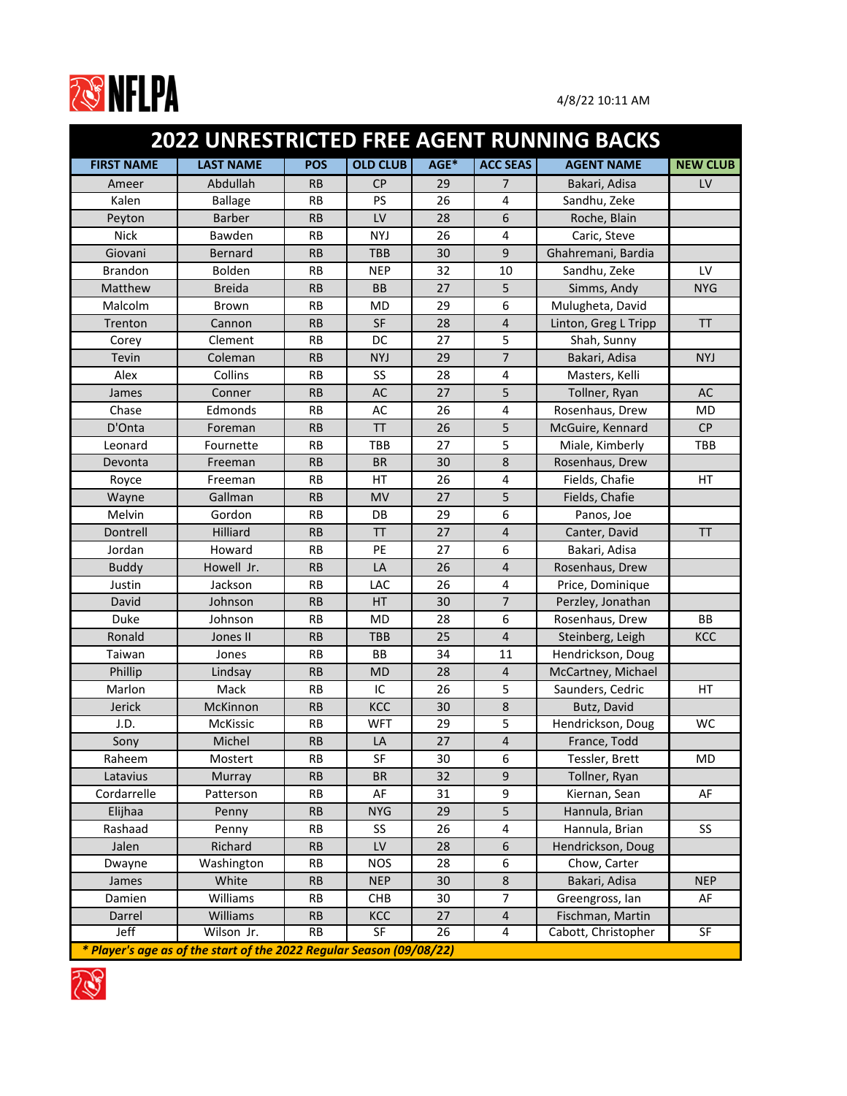

|                   |                                                                      |            |                 |      |                 | 2022 UNRESTRICTED FREE AGENT RUNNING BACKS |                 |
|-------------------|----------------------------------------------------------------------|------------|-----------------|------|-----------------|--------------------------------------------|-----------------|
| <b>FIRST NAME</b> | <b>LAST NAME</b>                                                     | <b>POS</b> | <b>OLD CLUB</b> | AGE* | <b>ACC SEAS</b> | <b>AGENT NAME</b>                          | <b>NEW CLUB</b> |
| Ameer             | Abdullah                                                             | <b>RB</b>  | <b>CP</b>       | 29   | $\overline{7}$  | Bakari, Adisa                              | LV              |
| Kalen             | <b>Ballage</b>                                                       | <b>RB</b>  | PS              | 26   | 4               | Sandhu, Zeke                               |                 |
| Peyton            | <b>Barber</b>                                                        | <b>RB</b>  | LV              | 28   | 6               | Roche, Blain                               |                 |
| <b>Nick</b>       | Bawden                                                               | <b>RB</b>  | <b>NYJ</b>      | 26   | 4               | Caric, Steve                               |                 |
| Giovani           | <b>Bernard</b>                                                       | <b>RB</b>  | TBB             | 30   | 9               | Ghahremani, Bardia                         |                 |
| <b>Brandon</b>    | <b>Bolden</b>                                                        | <b>RB</b>  | <b>NEP</b>      | 32   | 10              | Sandhu, Zeke                               | LV              |
| Matthew           | <b>Breida</b>                                                        | <b>RB</b>  | <b>BB</b>       | 27   | 5               | Simms, Andy                                | <b>NYG</b>      |
| Malcolm           | Brown                                                                | <b>RB</b>  | <b>MD</b>       | 29   | 6               | Mulugheta, David                           |                 |
| Trenton           | Cannon                                                               | <b>RB</b>  | <b>SF</b>       | 28   | $\overline{4}$  | Linton, Greg L Tripp                       | <b>TT</b>       |
| Corey             | Clement                                                              | <b>RB</b>  | DC              | 27   | 5               | Shah, Sunny                                |                 |
| Tevin             | Coleman                                                              | <b>RB</b>  | <b>NYJ</b>      | 29   | $\overline{7}$  | Bakari, Adisa                              | <b>NYJ</b>      |
| Alex              | Collins                                                              | <b>RB</b>  | SS              | 28   | 4               | Masters, Kelli                             |                 |
| James             | Conner                                                               | <b>RB</b>  | <b>AC</b>       | 27   | 5               | Tollner, Ryan                              | <b>AC</b>       |
| Chase             | Edmonds                                                              | <b>RB</b>  | AC              | 26   | 4               | Rosenhaus, Drew                            | <b>MD</b>       |
| D'Onta            | Foreman                                                              | <b>RB</b>  | <b>TT</b>       | 26   | 5               | McGuire, Kennard                           | CP              |
| Leonard           | Fournette                                                            | <b>RB</b>  | TBB             | 27   | 5               | Miale, Kimberly                            | TBB             |
| Devonta           | Freeman                                                              | <b>RB</b>  | <b>BR</b>       | 30   | 8               | Rosenhaus, Drew                            |                 |
| Royce             | Freeman                                                              | <b>RB</b>  | HT              | 26   | 4               | Fields, Chafie                             | HT              |
| Wayne             | Gallman                                                              | <b>RB</b>  | <b>MV</b>       | 27   | 5               | Fields, Chafie                             |                 |
| Melvin            | Gordon                                                               | <b>RB</b>  | DB              | 29   | 6               | Panos, Joe                                 |                 |
| Dontrell          | Hilliard                                                             | <b>RB</b>  | <b>TT</b>       | 27   | $\overline{4}$  | Canter, David                              | <b>TT</b>       |
| Jordan            | Howard                                                               | <b>RB</b>  | PE              | 27   | 6               | Bakari, Adisa                              |                 |
| <b>Buddy</b>      | Howell Jr.                                                           | <b>RB</b>  | LA              | 26   | $\overline{4}$  | Rosenhaus, Drew                            |                 |
| Justin            | Jackson                                                              | <b>RB</b>  | <b>LAC</b>      | 26   | 4               | Price, Dominique                           |                 |
| David             | Johnson                                                              | <b>RB</b>  | HT              | 30   | $\overline{7}$  | Perzley, Jonathan                          |                 |
| Duke              | Johnson                                                              | <b>RB</b>  | <b>MD</b>       | 28   | 6               | Rosenhaus, Drew                            | <b>BB</b>       |
| Ronald            | Jones II                                                             | <b>RB</b>  | <b>TBB</b>      | 25   | 4               | Steinberg, Leigh                           | KCC             |
| Taiwan            | Jones                                                                | <b>RB</b>  | BB              | 34   | 11              | Hendrickson, Doug                          |                 |
| Phillip           | Lindsay                                                              | <b>RB</b>  | <b>MD</b>       | 28   | 4               | McCartney, Michael                         |                 |
| Marlon            | Mack                                                                 | <b>RB</b>  | IC              | 26   | 5               | Saunders, Cedric                           | HT              |
| Jerick            | McKinnon                                                             | RB         | KCC             | 30   | $\bf 8$         | Butz, David                                |                 |
| J.D.              | <b>McKissic</b>                                                      | <b>RB</b>  | <b>WFT</b>      | 29   | 5               | Hendrickson, Doug                          | <b>WC</b>       |
| Sony              | Michel                                                               | <b>RB</b>  | LA              | 27   | 4               | France, Todd                               |                 |
| Raheem            | Mostert                                                              | <b>RB</b>  | SF              | 30   | 6               | Tessler, Brett                             | MD              |
| Latavius          | Murray                                                               | RB         | <b>BR</b>       | 32   | 9               | Tollner, Ryan                              |                 |
| Cordarrelle       | Patterson                                                            | <b>RB</b>  | AF              | 31   | 9               | Kiernan, Sean                              | AF              |
| Elijhaa           | Penny                                                                | RB         | <b>NYG</b>      | 29   | 5               | Hannula, Brian                             |                 |
| Rashaad           | Penny                                                                | <b>RB</b>  | <b>SS</b>       | 26   | 4               | Hannula, Brian                             | SS              |
| Jalen             | Richard                                                              | RB         | LV              | 28   | 6               | Hendrickson, Doug                          |                 |
| Dwayne            | Washington                                                           | RB         | <b>NOS</b>      | 28   | 6               | Chow, Carter                               |                 |
| James             | White                                                                | <b>RB</b>  | <b>NEP</b>      | 30   | $\bf 8$         | Bakari, Adisa                              | <b>NEP</b>      |
| Damien            | Williams                                                             | RB         | <b>CHB</b>      | 30   | $\overline{7}$  | Greengross, lan                            | AF              |
| Darrel            | Williams                                                             | <b>RB</b>  | KCC             | 27   | $\overline{4}$  | Fischman, Martin                           |                 |
| Jeff              | Wilson Jr.                                                           | <b>RB</b>  | SF              | 26   | 4               | Cabott, Christopher                        | SF              |
|                   | * Player's age as of the start of the 2022 Regular Season (09/08/22) |            |                 |      |                 |                                            |                 |

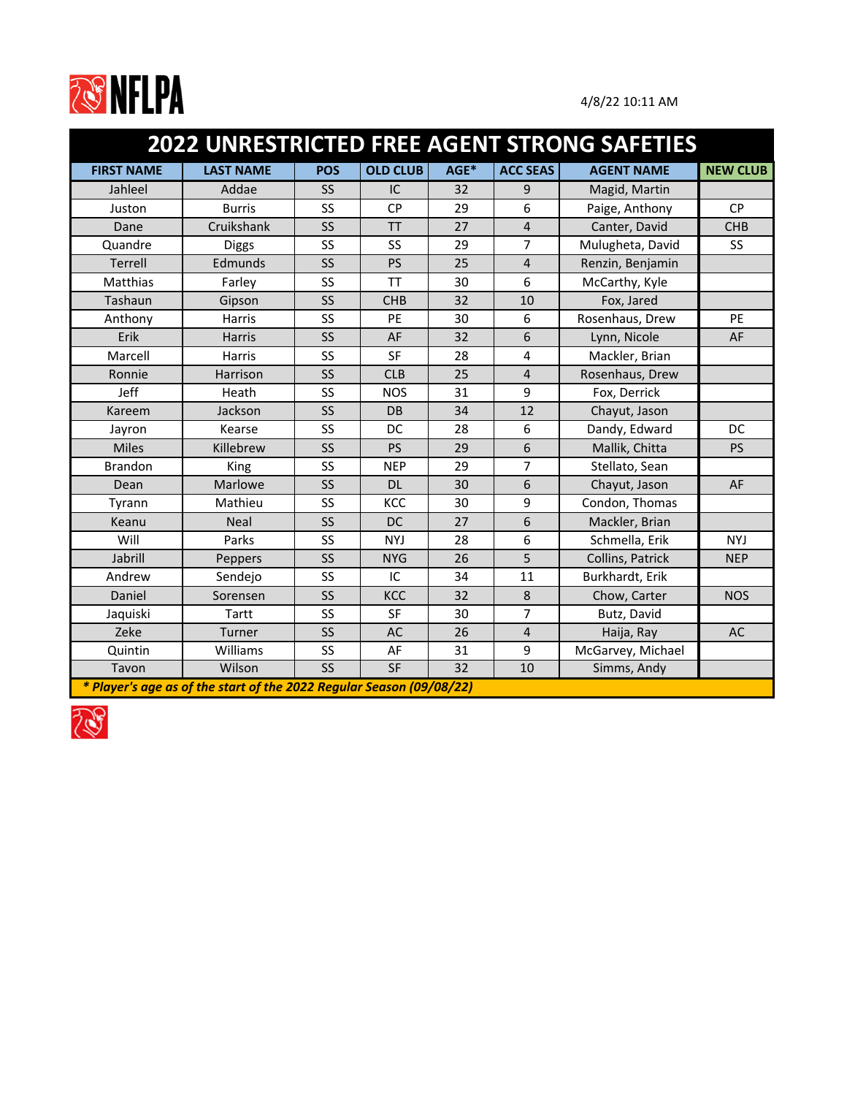

|                   |                                                                      |                        |                 |      |                 | <b>2022 UNRESTRICTED FREE AGENT STRONG SAFETIES</b> |                 |  |  |
|-------------------|----------------------------------------------------------------------|------------------------|-----------------|------|-----------------|-----------------------------------------------------|-----------------|--|--|
| <b>FIRST NAME</b> | <b>LAST NAME</b>                                                     | <b>POS</b>             | <b>OLD CLUB</b> | AGE* | <b>ACC SEAS</b> | <b>AGENT NAME</b>                                   | <b>NEW CLUB</b> |  |  |
| Jahleel           | Addae                                                                | <b>SS</b>              | IC              | 32   | 9               | Magid, Martin                                       |                 |  |  |
| Juston            | <b>Burris</b>                                                        | SS                     | <b>CP</b>       | 29   | 6               | Paige, Anthony                                      | <b>CP</b>       |  |  |
| Dane              | Cruikshank                                                           | <b>SS</b>              | <b>TT</b>       | 27   | $\overline{4}$  | Canter, David                                       | <b>CHB</b>      |  |  |
| Quandre           | <b>Diggs</b>                                                         | SS                     | SS              | 29   | $\overline{7}$  | Mulugheta, David                                    | <b>SS</b>       |  |  |
| Terrell           | Edmunds                                                              | SS                     | PS              | 25   | 4               | Renzin, Benjamin                                    |                 |  |  |
| Matthias          | Farley                                                               | SS                     | <b>TT</b>       | 30   | 6               | McCarthy, Kyle                                      |                 |  |  |
| Tashaun           | Gipson                                                               | SS                     | <b>CHB</b>      | 32   | 10              | Fox, Jared                                          |                 |  |  |
| Anthony           | Harris                                                               | <b>SS</b>              | PE              | 30   | 6               | Rosenhaus, Drew                                     | <b>PE</b>       |  |  |
| Erik              | <b>Harris</b>                                                        | SS                     | AF              | 32   | 6               | Lynn, Nicole                                        | AF              |  |  |
| Marcell           | Harris                                                               | SS                     | <b>SF</b>       | 28   | 4               | Mackler, Brian                                      |                 |  |  |
| Ronnie            | Harrison                                                             | <b>SS</b>              | <b>CLB</b>      | 25   | $\overline{4}$  | Rosenhaus, Drew                                     |                 |  |  |
| Jeff              | Heath                                                                | SS                     | <b>NOS</b>      | 31   | $\overline{9}$  | Fox, Derrick                                        |                 |  |  |
| Kareem            | Jackson                                                              | SS                     | DB              | 34   | 12              | Chayut, Jason                                       |                 |  |  |
| Jayron            | Kearse                                                               | SS                     | DC              | 28   | 6               | Dandy, Edward                                       | <b>DC</b>       |  |  |
| <b>Miles</b>      | Killebrew                                                            | <b>SS</b>              | <b>PS</b>       | 29   | 6               | Mallik, Chitta                                      | <b>PS</b>       |  |  |
| <b>Brandon</b>    | King                                                                 | SS                     | <b>NEP</b>      | 29   | $\overline{7}$  | Stellato, Sean                                      |                 |  |  |
| Dean              | Marlowe                                                              | <b>SS</b>              | <b>DL</b>       | 30   | 6               | Chayut, Jason                                       | AF              |  |  |
| Tyrann            | Mathieu                                                              | SS                     | KCC             | 30   | 9               | Condon, Thomas                                      |                 |  |  |
| Keanu             | Neal                                                                 | SS                     | <b>DC</b>       | 27   | 6               | Mackler, Brian                                      |                 |  |  |
| Will              | Parks                                                                | <b>SS</b>              | <b>NYJ</b>      | 28   | 6               | Schmella, Erik                                      | <b>NYJ</b>      |  |  |
| Jabrill           | Peppers                                                              | SS                     | <b>NYG</b>      | 26   | 5               | Collins, Patrick                                    | <b>NEP</b>      |  |  |
| Andrew            | Sendejo                                                              | SS                     | IC              | 34   | 11              | Burkhardt, Erik                                     |                 |  |  |
| Daniel            | Sorensen                                                             | SS                     | KCC             | 32   | 8               | Chow, Carter                                        | <b>NOS</b>      |  |  |
| Jaquiski          | Tartt                                                                | <b>SS</b>              | <b>SF</b>       | 30   | 7               | Butz, David                                         |                 |  |  |
| Zeke              | Turner                                                               | <b>SS</b>              | <b>AC</b>       | 26   | $\overline{4}$  | Haija, Ray                                          | <b>AC</b>       |  |  |
| Quintin           | Williams                                                             | SS                     | AF              | 31   | 9               | McGarvey, Michael                                   |                 |  |  |
| Tavon             | Wilson                                                               | $\overline{\text{SS}}$ | <b>SF</b>       | 32   | 10              | Simms, Andy                                         |                 |  |  |
|                   | * Player's age as of the start of the 2022 Regular Season (09/08/22) |                        |                 |      |                 |                                                     |                 |  |  |

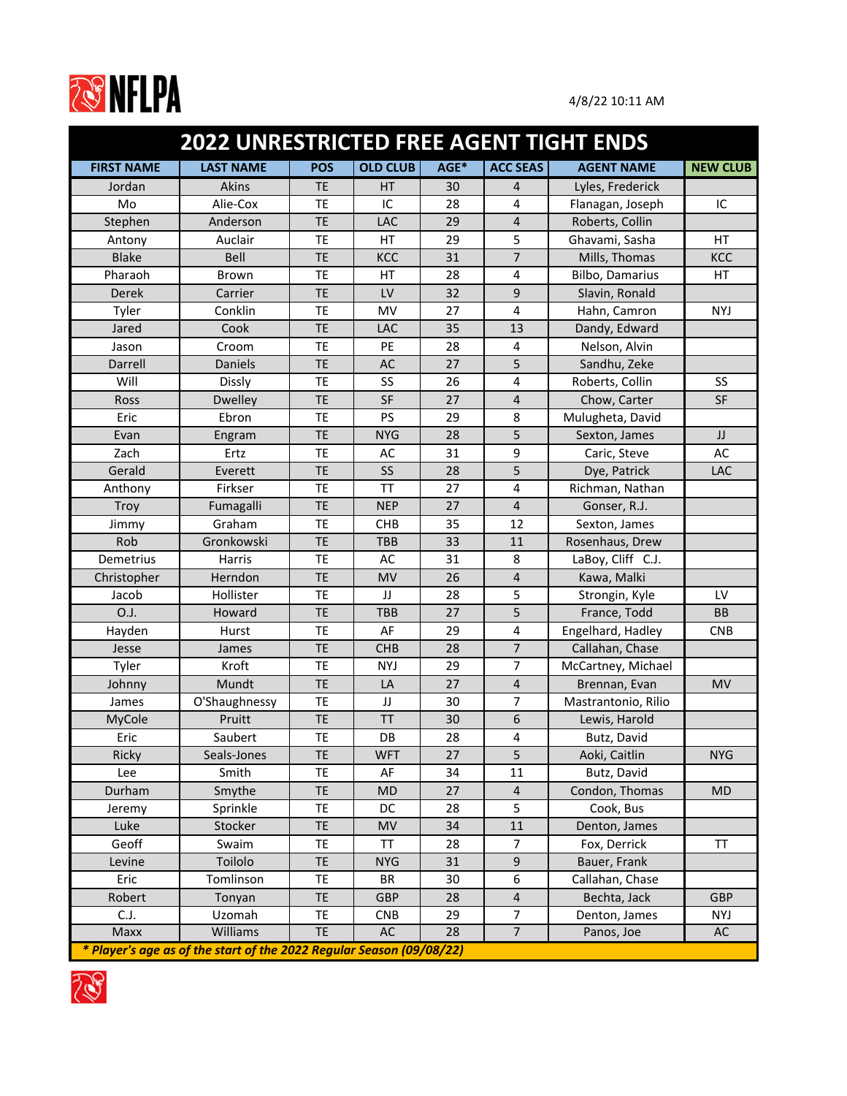

|                   | <b>2022 UNRESTRICTED FREE AGENT TIGHT ENDS</b>                       |            |                 |      |                 |                        |                 |
|-------------------|----------------------------------------------------------------------|------------|-----------------|------|-----------------|------------------------|-----------------|
| <b>FIRST NAME</b> | <b>LAST NAME</b>                                                     | <b>POS</b> | <b>OLD CLUB</b> | AGE* | <b>ACC SEAS</b> | <b>AGENT NAME</b>      | <b>NEW CLUB</b> |
| Jordan            | <b>Akins</b>                                                         | <b>TE</b>  | HT              | 30   | 4               | Lyles, Frederick       |                 |
| Mo                | Alie-Cox                                                             | <b>TE</b>  | IC              | 28   | 4               | Flanagan, Joseph       | IC              |
| Stephen           | Anderson                                                             | <b>TE</b>  | LAC             | 29   | 4               | Roberts, Collin        |                 |
| Antony            | Auclair                                                              | <b>TE</b>  | НT              | 29   | 5               | Ghavami, Sasha         | HT              |
| <b>Blake</b>      | Bell                                                                 | <b>TE</b>  | KCC             | 31   | 7               | Mills, Thomas          | KCC             |
| Pharaoh           | <b>Brown</b>                                                         | <b>TE</b>  | HT              | 28   | 4               | <b>Bilbo, Damarius</b> | HT              |
| <b>Derek</b>      | Carrier                                                              | <b>TE</b>  | LV              | 32   | 9               | Slavin, Ronald         |                 |
| Tyler             | Conklin                                                              | <b>TE</b>  | MV              | 27   | 4               | Hahn, Camron           | <b>NYJ</b>      |
| Jared             | Cook                                                                 | <b>TE</b>  | LAC             | 35   | 13              | Dandy, Edward          |                 |
| Jason             | Croom                                                                | <b>TE</b>  | PE              | 28   | 4               | Nelson, Alvin          |                 |
| Darrell           | <b>Daniels</b>                                                       | <b>TE</b>  | <b>AC</b>       | 27   | 5               | Sandhu, Zeke           |                 |
| Will              | <b>Dissly</b>                                                        | <b>TE</b>  | SS              | 26   | 4               | Roberts, Collin        | SS              |
| Ross              | <b>Dwelley</b>                                                       | <b>TE</b>  | <b>SF</b>       | 27   | 4               | Chow, Carter           | <b>SF</b>       |
| Eric              | Ebron                                                                | <b>TE</b>  | PS              | 29   | 8               | Mulugheta, David       |                 |
| Evan              | Engram                                                               | <b>TE</b>  | <b>NYG</b>      | 28   | 5               | Sexton, James          | JJ              |
| Zach              | Ertz                                                                 | <b>TE</b>  | AC              | 31   | 9               | Caric, Steve           | <b>AC</b>       |
| Gerald            | Everett                                                              | <b>TE</b>  | <b>SS</b>       | 28   | 5               | Dye, Patrick           | LAC             |
| Anthony           | Firkser                                                              | <b>TE</b>  | <b>TT</b>       | 27   | 4               | Richman, Nathan        |                 |
| <b>Troy</b>       | Fumagalli                                                            | <b>TE</b>  | <b>NEP</b>      | 27   | 4               | Gonser, R.J.           |                 |
| Jimmy             | Graham                                                               | <b>TE</b>  | <b>CHB</b>      | 35   | 12              | Sexton, James          |                 |
| Rob               | Gronkowski                                                           | <b>TE</b>  | <b>TBB</b>      | 33   | 11              | Rosenhaus, Drew        |                 |
| Demetrius         | Harris                                                               | <b>TE</b>  | AC              | 31   | 8               | LaBoy, Cliff C.J.      |                 |
| Christopher       | Herndon                                                              | <b>TE</b>  | <b>MV</b>       | 26   | 4               | Kawa, Malki            |                 |
| Jacob             | Hollister                                                            | <b>TE</b>  | JJ              | 28   | 5               | Strongin, Kyle         | LV              |
| O.J.              | Howard                                                               | <b>TE</b>  | <b>TBB</b>      | 27   | 5               | France, Todd           | <b>BB</b>       |
| Hayden            | Hurst                                                                | <b>TE</b>  | AF              | 29   | 4               | Engelhard, Hadley      | <b>CNB</b>      |
| Jesse             | James                                                                | <b>TE</b>  | <b>CHB</b>      | 28   | 7               | Callahan, Chase        |                 |
| Tyler             | Kroft                                                                | <b>TE</b>  | <b>NYJ</b>      | 29   | 7               | McCartney, Michael     |                 |
| Johnny            | Mundt                                                                | <b>TE</b>  | LA              | 27   | 4               | Brennan, Evan          | <b>MV</b>       |
| James             | O'Shaughnessy                                                        | <b>TE</b>  | JJ              | 30   | 7               | Mastrantonio, Rilio    |                 |
| MyCole            | Pruitt                                                               | <b>TE</b>  | <b>TT</b>       | 30   | 6               | Lewis, Harold          |                 |
| Eric              | Saubert                                                              | <b>TE</b>  | DB              | 28   | 4               | Butz, David            |                 |
| Ricky             | Seals-Jones                                                          | <b>TE</b>  | <b>WFT</b>      | 27   | 5               | Aoki, Caitlin          | <b>NYG</b>      |
| Lee               | Smith                                                                | TE         | AF              | 34   | 11              | Butz, David            |                 |
| Durham            | Smythe                                                               | <b>TE</b>  | MD              | 27   | $\overline{4}$  | Condon, Thomas         | <b>MD</b>       |
| Jeremy            | Sprinkle                                                             | <b>TE</b>  | DC              | 28   | 5               | Cook, Bus              |                 |
| Luke              | Stocker                                                              | <b>TE</b>  | <b>MV</b>       | 34   | 11              | Denton, James          |                 |
| Geoff             | Swaim                                                                | <b>TE</b>  | TT              | 28   | 7               | Fox, Derrick           | <b>TT</b>       |
| Levine            | Toilolo                                                              | <b>TE</b>  | <b>NYG</b>      | 31   | 9               | Bauer, Frank           |                 |
| Eric              | Tomlinson                                                            | <b>TE</b>  | <b>BR</b>       | 30   | 6               | Callahan, Chase        |                 |
| Robert            | Tonyan                                                               | <b>TE</b>  | <b>GBP</b>      | 28   | 4               | Bechta, Jack           | <b>GBP</b>      |
| C.J.              | Uzomah                                                               | <b>TE</b>  | <b>CNB</b>      | 29   | 7               | Denton, James          | <b>NYJ</b>      |
| Maxx              | <b>Williams</b>                                                      | <b>TE</b>  | AC              | 28   | $\overline{7}$  | Panos, Joe             | AC              |
|                   | * Player's age as of the start of the 2022 Regular Season (09/08/22) |            |                 |      |                 |                        |                 |